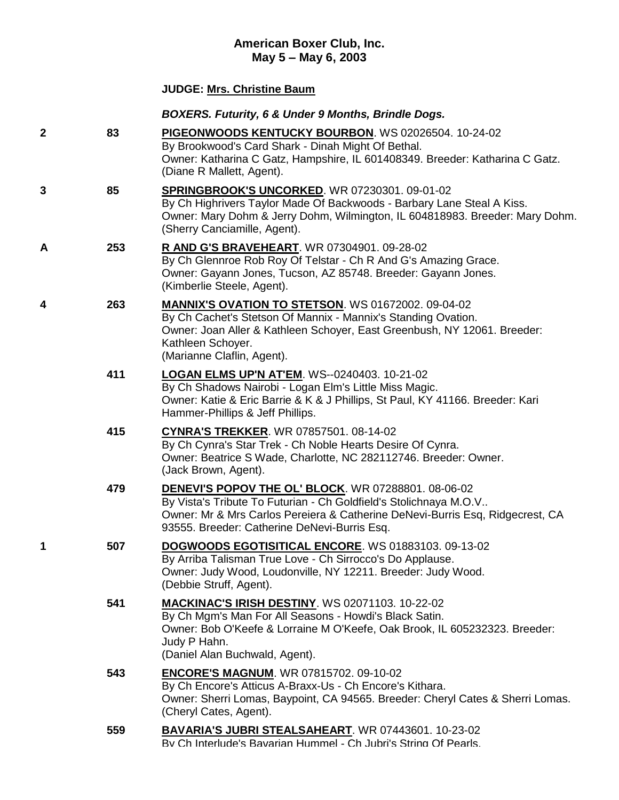# **American Boxer Club, Inc. May 5 – May 6, 2003**

## **JUDGE: [Mrs. Christine Baum](http://www.infodog.com/show/judge/jdgprofile.htm?jn=9731)**

### *BOXERS. Futurity, 6 & Under 9 Months, Brindle Dogs.*

**2 83 [PIGEONWOODS KENTUCKY BOURBON](http://www.infodog.com/my/drlookup2.htm?makc=WS%2002026504&mdog=Pigeonwoods+Kentucky+Bourbon&wins=all)**. WS 02026504. 10-24-02 By Brookwood's Card Shark - Dinah Might Of Bethal. Owner: Katharina C Gatz, Hampshire, IL 601408349. Breeder: Katharina C Gatz. (Diane R Mallett, Agent). **3 85 [SPRINGBROOK'S UNCORKED](http://www.infodog.com/my/drlookup2.htm?makc=WR%2007230301&mdog=Springbrook%27s+Uncorked&wins=all)**. WR 07230301. 09-01-02 By Ch Highrivers Taylor Made Of Backwoods - Barbary Lane Steal A Kiss. Owner: Mary Dohm & Jerry Dohm, Wilmington, IL 604818983. Breeder: Mary Dohm. (Sherry Canciamille, Agent). **A 253 [R AND G'S BRAVEHEART](http://www.infodog.com/my/drlookup2.htm?makc=WR%2007304901&mdog=R+And+G%27s+Braveheart&wins=all)**. WR 07304901. 09-28-02 By Ch Glennroe Rob Roy Of Telstar - Ch R And G's Amazing Grace. Owner: Gayann Jones, Tucson, AZ 85748. Breeder: Gayann Jones. (Kimberlie Steele, Agent). **4 263 [MANNIX'S OVATION TO STETSON](http://www.infodog.com/my/drlookup2.htm?makc=WS%2001672002&mdog=Mannix%27s+Ovation+To+Stetson&wins=all)**. WS 01672002. 09-04-02 By Ch Cachet's Stetson Of Mannix - Mannix's Standing Ovation. Owner: Joan Aller & Kathleen Schoyer, East Greenbush, NY 12061. Breeder: Kathleen Schoyer. (Marianne Claflin, Agent).

### **411 [LOGAN ELMS UP'N AT'EM](http://www.infodog.com/my/drlookup2.htm?makc=WS--0240403&mdog=Logan+Elms+Up%27n+At%27Em&wins=all)**. WS--0240403. 10-21-02 By Ch Shadows Nairobi - Logan Elm's Little Miss Magic. Owner: Katie & Eric Barrie & K & J Phillips, St Paul, KY 41166. Breeder: Kari Hammer-Phillips & Jeff Phillips.

- **415 [CYNRA'S TREKKER](http://www.infodog.com/my/drlookup2.htm?makc=WR%2007857501&mdog=Cynra%27S+Trekker&wins=all)**. WR 07857501. 08-14-02 By Ch Cynra's Star Trek - Ch Noble Hearts Desire Of Cynra. Owner: Beatrice S Wade, Charlotte, NC 282112746. Breeder: Owner. (Jack Brown, Agent).
- **479 [DENEVI'S POPOV THE OL' BLOCK](http://www.infodog.com/my/drlookup2.htm?makc=WR%2007288801&mdog=DeNevi%27s+Popov+The+Ol%27+Block&wins=all)**. WR 07288801. 08-06-02 By Vista's Tribute To Futurian - Ch Goldfield's Stolichnaya M.O.V.. Owner: Mr & Mrs Carlos Pereiera & Catherine DeNevi-Burris Esq, Ridgecrest, CA 93555. Breeder: Catherine DeNevi-Burris Esq.

#### **1 507 [DOGWOODS EGOTISITICAL ENCORE](http://www.infodog.com/my/drlookup2.htm?makc=WS%2001883103&mdog=Dogwoods+Egotisitical+Encore&wins=all)**. WS 01883103. 09-13-02 By Arriba Talisman True Love - Ch Sirrocco's Do Applause. Owner: Judy Wood, Loudonville, NY 12211. Breeder: Judy Wood. (Debbie Struff, Agent).

**541 [MACKINAC'S IRISH DESTINY](http://www.infodog.com/my/drlookup2.htm?makc=WS%2002071103&mdog=Mackinac%27s+Irish+Destiny&wins=all)**. WS 02071103. 10-22-02 By Ch Mgm's Man For All Seasons - Howdi's Black Satin. Owner: Bob O'Keefe & Lorraine M O'Keefe, Oak Brook, IL 605232323. Breeder: Judy P Hahn. (Daniel Alan Buchwald, Agent).

### **543 [ENCORE'S MAGNUM](http://www.infodog.com/my/drlookup2.htm?makc=WR%2007815702&mdog=Encore%27s+Magnum&wins=all)**. WR 07815702. 09-10-02 By Ch Encore's Atticus A-Braxx-Us - Ch Encore's Kithara. Owner: Sherri Lomas, Baypoint, CA 94565. Breeder: Cheryl Cates & Sherri Lomas. (Cheryl Cates, Agent).

**559 [BAVARIA'S JUBRI STEALSAHEART](http://www.infodog.com/my/drlookup2.htm?makc=WR%2007443601&mdog=Bavaria%27s+Jubri+Stealsaheart&wins=all)**. WR 07443601. 10-23-02 By Ch Interlude's Bavarian Hummel - Ch Jubri's String Of Pearls.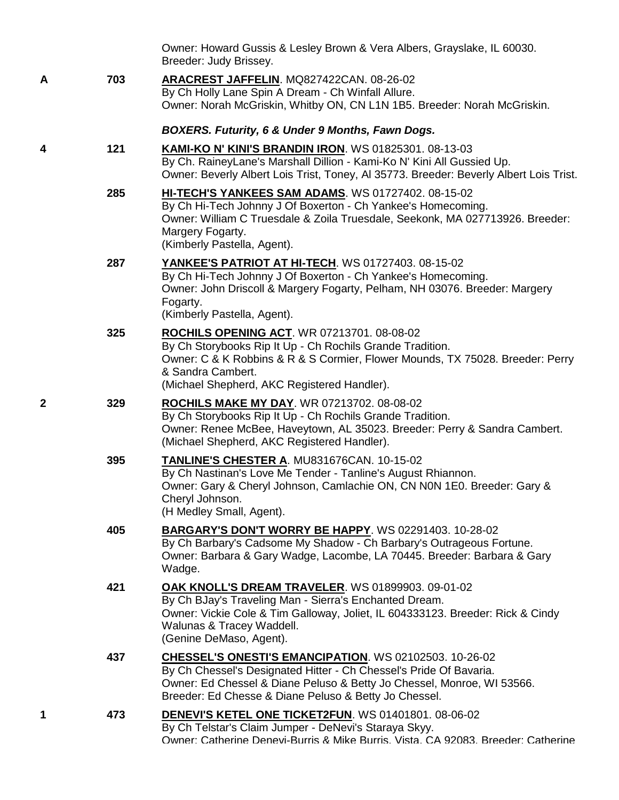|   |     | Owner: Howard Gussis & Lesley Brown & Vera Albers, Grayslake, IL 60030.<br>Breeder: Judy Brissey.                                                                                                                                                               |
|---|-----|-----------------------------------------------------------------------------------------------------------------------------------------------------------------------------------------------------------------------------------------------------------------|
| Α | 703 | ARACREST JAFFELIN. MQ827422CAN. 08-26-02<br>By Ch Holly Lane Spin A Dream - Ch Winfall Allure.<br>Owner: Norah McGriskin, Whitby ON, CN L1N 1B5. Breeder: Norah McGriskin.                                                                                      |
|   |     | BOXERS. Futurity, 6 & Under 9 Months, Fawn Dogs.                                                                                                                                                                                                                |
| 4 | 121 | <b>KAMI-KO N' KINI'S BRANDIN IRON. WS 01825301. 08-13-03</b><br>By Ch. RaineyLane's Marshall Dillion - Kami-Ko N' Kini All Gussied Up.<br>Owner: Beverly Albert Lois Trist, Toney, AI 35773. Breeder: Beverly Albert Lois Trist.                                |
|   | 285 | HI-TECH'S YANKEES SAM ADAMS. WS 01727402. 08-15-02<br>By Ch Hi-Tech Johnny J Of Boxerton - Ch Yankee's Homecoming.<br>Owner: William C Truesdale & Zoila Truesdale, Seekonk, MA 027713926. Breeder:<br>Margery Fogarty.<br>(Kimberly Pastella, Agent).          |
|   | 287 | YANKEE'S PATRIOT AT HI-TECH. WS 01727403. 08-15-02<br>By Ch Hi-Tech Johnny J Of Boxerton - Ch Yankee's Homecoming.<br>Owner: John Driscoll & Margery Fogarty, Pelham, NH 03076. Breeder: Margery<br>Fogarty.<br>(Kimberly Pastella, Agent).                     |
|   | 325 | ROCHILS OPENING ACT. WR 07213701. 08-08-02<br>By Ch Storybooks Rip It Up - Ch Rochils Grande Tradition.<br>Owner: C & K Robbins & R & S Cormier, Flower Mounds, TX 75028. Breeder: Perry<br>& Sandra Cambert.<br>(Michael Shepherd, AKC Registered Handler).    |
| 2 | 329 | <b>ROCHILS MAKE MY DAY. WR 07213702. 08-08-02</b><br>By Ch Storybooks Rip It Up - Ch Rochils Grande Tradition.<br>Owner: Renee McBee, Haveytown, AL 35023. Breeder: Perry & Sandra Cambert.<br>(Michael Shepherd, AKC Registered Handler).                      |
|   | 395 | TANLINE'S CHESTER A. MU831676CAN. 10-15-02<br>By Ch Nastinan's Love Me Tender - Tanline's August Rhiannon.<br>Owner: Gary & Cheryl Johnson, Camlachie ON, CN N0N 1E0. Breeder: Gary &<br>Cheryl Johnson.<br>(H Medley Small, Agent).                            |
|   | 405 | <b>BARGARY'S DON'T WORRY BE HAPPY.</b> WS 02291403. 10-28-02<br>By Ch Barbary's Cadsome My Shadow - Ch Barbary's Outrageous Fortune.<br>Owner: Barbara & Gary Wadge, Lacombe, LA 70445. Breeder: Barbara & Gary<br>Wadge.                                       |
|   | 421 | <b>OAK KNOLL'S DREAM TRAVELER. WS 01899903. 09-01-02</b><br>By Ch BJay's Traveling Man - Sierra's Enchanted Dream.<br>Owner: Vickie Cole & Tim Galloway, Joliet, IL 604333123. Breeder: Rick & Cindy<br>Walunas & Tracey Waddell.<br>(Genine DeMaso, Agent).    |
|   | 437 | CHESSEL'S ONESTI'S EMANCIPATION. WS 02102503. 10-26-02<br>By Ch Chessel's Designated Hitter - Ch Chessel's Pride Of Bavaria.<br>Owner: Ed Chessel & Diane Peluso & Betty Jo Chessel, Monroe, WI 53566.<br>Breeder: Ed Chesse & Diane Peluso & Betty Jo Chessel. |
| 1 | 473 | DENEVI'S KETEL ONE TICKET2FUN. WS 01401801. 08-06-02<br>By Ch Telstar's Claim Jumper - DeNevi's Staraya Skyy.<br>Owner: Catherine Denevi-Burris & Mike Burris. Vista. CA 92083. Breeder: Catherine                                                              |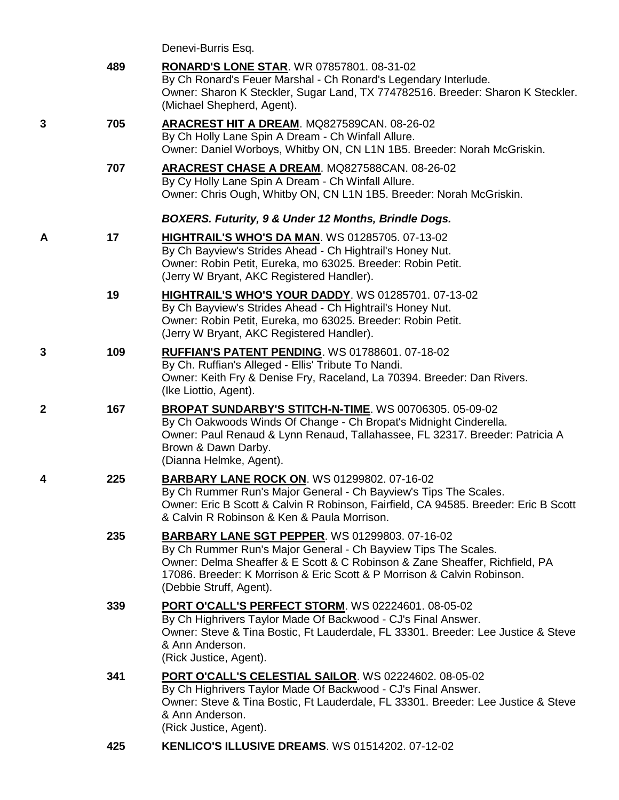|   |     | Denevi-Burris Esq.                                                                                                                                                                                                                                                                                           |
|---|-----|--------------------------------------------------------------------------------------------------------------------------------------------------------------------------------------------------------------------------------------------------------------------------------------------------------------|
|   | 489 | <b>RONARD'S LONE STAR. WR 07857801. 08-31-02</b><br>By Ch Ronard's Feuer Marshal - Ch Ronard's Legendary Interlude.<br>Owner: Sharon K Steckler, Sugar Land, TX 774782516. Breeder: Sharon K Steckler.<br>(Michael Shepherd, Agent).                                                                         |
| 3 | 705 | <b>ARACREST HIT A DREAM. MQ827589CAN. 08-26-02</b><br>By Ch Holly Lane Spin A Dream - Ch Winfall Allure.<br>Owner: Daniel Worboys, Whitby ON, CN L1N 1B5. Breeder: Norah McGriskin.                                                                                                                          |
|   | 707 | ARACREST CHASE A DREAM. MQ827588CAN. 08-26-02<br>By Cy Holly Lane Spin A Dream - Ch Winfall Allure.<br>Owner: Chris Ough, Whitby ON, CN L1N 1B5. Breeder: Norah McGriskin.                                                                                                                                   |
|   |     | <b>BOXERS. Futurity, 9 &amp; Under 12 Months, Brindle Dogs.</b>                                                                                                                                                                                                                                              |
| Α | 17  | <b>HIGHTRAIL'S WHO'S DA MAN. WS 01285705. 07-13-02</b><br>By Ch Bayview's Strides Ahead - Ch Hightrail's Honey Nut.<br>Owner: Robin Petit, Eureka, mo 63025. Breeder: Robin Petit.<br>(Jerry W Bryant, AKC Registered Handler).                                                                              |
|   | 19  | <b>HIGHTRAIL'S WHO'S YOUR DADDY.</b> WS 01285701. 07-13-02<br>By Ch Bayview's Strides Ahead - Ch Hightrail's Honey Nut.<br>Owner: Robin Petit, Eureka, mo 63025. Breeder: Robin Petit.<br>(Jerry W Bryant, AKC Registered Handler).                                                                          |
| 3 | 109 | <b>RUFFIAN'S PATENT PENDING. WS 01788601. 07-18-02</b><br>By Ch. Ruffian's Alleged - Ellis' Tribute To Nandi.<br>Owner: Keith Fry & Denise Fry, Raceland, La 70394. Breeder: Dan Rivers.<br>(Ike Liottio, Agent).                                                                                            |
| 2 | 167 | <b>BROPAT SUNDARBY'S STITCH-N-TIME. WS 00706305. 05-09-02</b><br>By Ch Oakwoods Winds Of Change - Ch Bropat's Midnight Cinderella.<br>Owner: Paul Renaud & Lynn Renaud, Tallahassee, FL 32317. Breeder: Patricia A<br>Brown & Dawn Darby.<br>(Dianna Helmke, Agent).                                         |
| 4 | 225 | <b>BARBARY LANE ROCK ON. WS 01299802. 07-16-02</b><br>By Ch Rummer Run's Major General - Ch Bayview's Tips The Scales<br>Owner: Eric B Scott & Calvin R Robinson, Fairfield, CA 94585. Breeder: Eric B Scott<br>& Calvin R Robinson & Ken & Paula Morrison.                                                  |
|   | 235 | <b>BARBARY LANE SGT PEPPER. WS 01299803. 07-16-02</b><br>By Ch Rummer Run's Major General - Ch Bayview Tips The Scales.<br>Owner: Delma Sheaffer & E Scott & C Robinson & Zane Sheaffer, Richfield, PA<br>17086. Breeder: K Morrison & Eric Scott & P Morrison & Calvin Robinson.<br>(Debbie Struff, Agent). |
|   | 339 | <b>PORT O'CALL'S PERFECT STORM. WS 02224601. 08-05-02</b><br>By Ch Highrivers Taylor Made Of Backwood - CJ's Final Answer.<br>Owner: Steve & Tina Bostic, Ft Lauderdale, FL 33301. Breeder: Lee Justice & Steve<br>& Ann Anderson.<br>(Rick Justice, Agent).                                                 |
|   | 341 | PORT O'CALL'S CELESTIAL SAILOR. WS 02224602. 08-05-02<br>By Ch Highrivers Taylor Made Of Backwood - CJ's Final Answer.<br>Owner: Steve & Tina Bostic, Ft Lauderdale, FL 33301. Breeder: Lee Justice & Steve<br>& Ann Anderson.<br>(Rick Justice, Agent).                                                     |
|   | 425 | KENLICO'S ILLUSIVE DREAMS. WS 01514202. 07-12-02                                                                                                                                                                                                                                                             |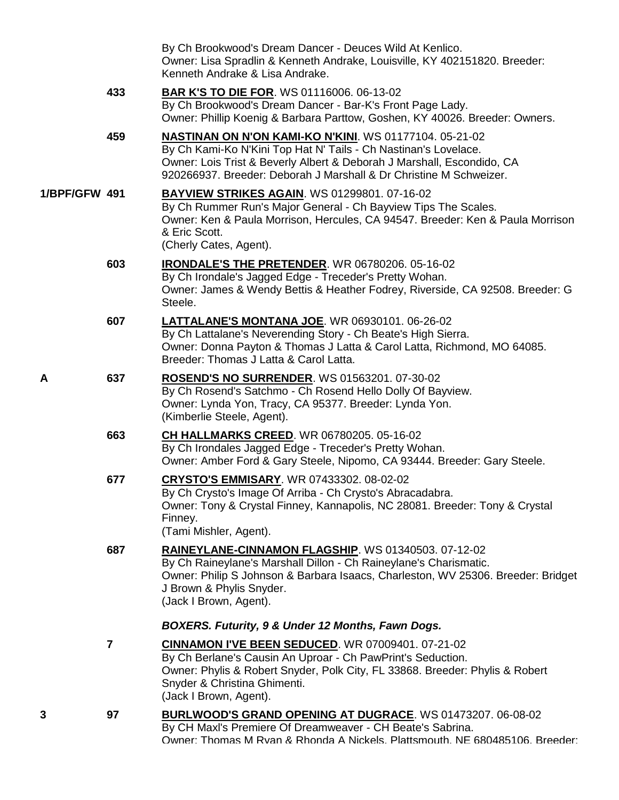|               |                         | By Ch Brookwood's Dream Dancer - Deuces Wild At Kenlico.<br>Owner: Lisa Spradlin & Kenneth Andrake, Louisville, KY 402151820. Breeder:<br>Kenneth Andrake & Lisa Andrake.                                                                                                 |
|---------------|-------------------------|---------------------------------------------------------------------------------------------------------------------------------------------------------------------------------------------------------------------------------------------------------------------------|
|               | 433                     | <b>BAR K'S TO DIE FOR. WS 01116006. 06-13-02</b><br>By Ch Brookwood's Dream Dancer - Bar-K's Front Page Lady.<br>Owner: Phillip Koenig & Barbara Parttow, Goshen, KY 40026. Breeder: Owners.                                                                              |
|               | 459                     | NASTINAN ON N'ON KAMI-KO N'KINI. WS 01177104. 05-21-02<br>By Ch Kami-Ko N'Kini Top Hat N' Tails - Ch Nastinan's Lovelace.<br>Owner: Lois Trist & Beverly Albert & Deborah J Marshall, Escondido, CA<br>920266937, Breeder: Deborah J Marshall & Dr Christine M Schweizer. |
| 1/BPF/GFW 491 |                         | <b>BAYVIEW STRIKES AGAIN.</b> WS 01299801. 07-16-02<br>By Ch Rummer Run's Major General - Ch Bayview Tips The Scales.<br>Owner: Ken & Paula Morrison, Hercules, CA 94547. Breeder: Ken & Paula Morrison<br>& Eric Scott.<br>(Cherly Cates, Agent).                        |
|               | 603                     | <b>IRONDALE'S THE PRETENDER.</b> WR 06780206. 05-16-02<br>By Ch Irondale's Jagged Edge - Treceder's Pretty Wohan.<br>Owner: James & Wendy Bettis & Heather Fodrey, Riverside, CA 92508. Breeder: G<br>Steele.                                                             |
|               | 607                     | LATTALANE'S MONTANA JOE. WR 06930101. 06-26-02<br>By Ch Lattalane's Neverending Story - Ch Beate's High Sierra.<br>Owner: Donna Payton & Thomas J Latta & Carol Latta, Richmond, MO 64085.<br>Breeder: Thomas J Latta & Carol Latta.                                      |
| Α             | 637                     | ROSEND'S NO SURRENDER. WS 01563201. 07-30-02<br>By Ch Rosend's Satchmo - Ch Rosend Hello Dolly Of Bayview.<br>Owner: Lynda Yon, Tracy, CA 95377. Breeder: Lynda Yon.<br>(Kimberlie Steele, Agent).                                                                        |
|               | 663                     | <b>CH HALLMARKS CREED.</b> WR 06780205. 05-16-02<br>By Ch Irondales Jagged Edge - Treceder's Pretty Wohan.<br>Owner: Amber Ford & Gary Steele, Nipomo, CA 93444. Breeder: Gary Steele.                                                                                    |
|               | 677                     | CRYSTO'S EMMISARY. WR 07433302. 08-02-02<br>By Ch Crysto's Image Of Arriba - Ch Crysto's Abracadabra.<br>Owner: Tony & Crystal Finney, Kannapolis, NC 28081. Breeder: Tony & Crystal<br>Finney.<br>(Tami Mishler, Agent).                                                 |
|               | 687                     | RAINEYLANE-CINNAMON FLAGSHIP. WS 01340503. 07-12-02<br>By Ch Raineylane's Marshall Dillon - Ch Raineylane's Charismatic.<br>Owner: Philip S Johnson & Barbara Isaacs, Charleston, WV 25306. Breeder: Bridget<br>J Brown & Phylis Snyder.<br>(Jack I Brown, Agent).        |
|               |                         | BOXERS. Futurity, 9 & Under 12 Months, Fawn Dogs.                                                                                                                                                                                                                         |
|               | $\overline{\mathbf{z}}$ | <b>CINNAMON I'VE BEEN SEDUCED. WR 07009401. 07-21-02</b><br>By Ch Berlane's Causin An Uproar - Ch PawPrint's Seduction.<br>Owner: Phylis & Robert Snyder, Polk City, FL 33868. Breeder: Phylis & Robert<br>Snyder & Christina Ghimenti.<br>(Jack I Brown, Agent).         |
| 3             | 97                      | <b>BURLWOOD'S GRAND OPENING AT DUGRACE. WS 01473207. 06-08-02</b><br>By CH Maxl's Premiere Of Dreamweaver - CH Beate's Sabrina.<br>Owner: Thomas M Rvan & Rhonda A Nickels. Plattsmouth. NE 680485106. Breeder:                                                           |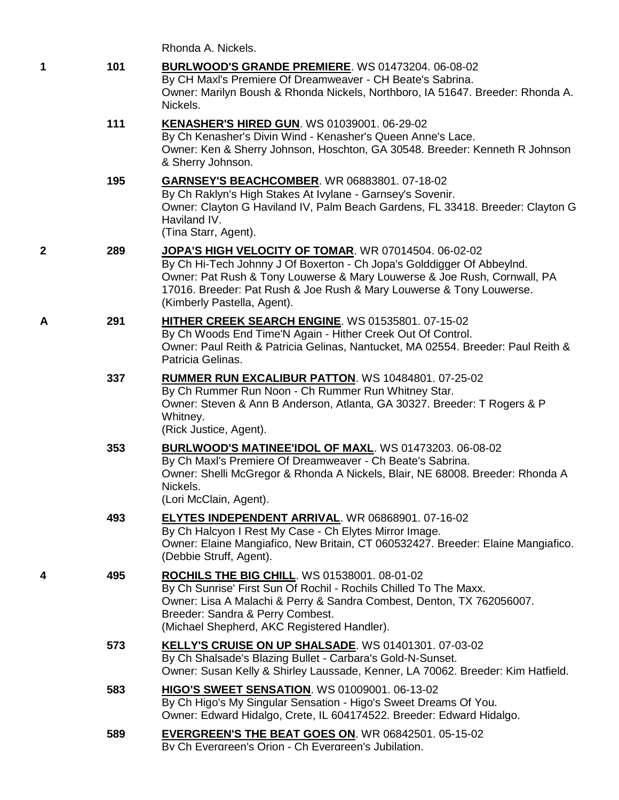| $\mathbf 1$  | 101 | <b>BURLWOOD'S GRANDE PREMIERE. WS 01473204. 06-08-02</b><br>By CH Maxl's Premiere Of Dreamweaver - CH Beate's Sabrina.<br>Owner: Marilyn Boush & Rhonda Nickels, Northboro, IA 51647. Breeder: Rhonda A.<br>Nickels.                                                                                              |
|--------------|-----|-------------------------------------------------------------------------------------------------------------------------------------------------------------------------------------------------------------------------------------------------------------------------------------------------------------------|
|              | 111 | KENASHER'S HIRED GUN. WS 01039001. 06-29-02<br>By Ch Kenasher's Divin Wind - Kenasher's Queen Anne's Lace.<br>Owner: Ken & Sherry Johnson, Hoschton, GA 30548. Breeder: Kenneth R Johnson<br>& Sherry Johnson.                                                                                                    |
|              | 195 | GARNSEY'S BEACHCOMBER. WR 06883801. 07-18-02<br>By Ch Raklyn's High Stakes At Ivylane - Garnsey's Sovenir.<br>Owner: Clayton G Haviland IV, Palm Beach Gardens, FL 33418. Breeder: Clayton G<br>Haviland IV.<br>(Tina Starr, Agent).                                                                              |
| $\mathbf{2}$ | 289 | JOPA'S HIGH VELOCITY OF TOMAR. WR 07014504. 06-02-02<br>By Ch Hi-Tech Johnny J Of Boxerton - Ch Jopa's Golddigger Of AbbeyInd.<br>Owner: Pat Rush & Tony Louwerse & Mary Louwerse & Joe Rush, Cornwall, PA<br>17016. Breeder: Pat Rush & Joe Rush & Mary Louwerse & Tony Louwerse.<br>(Kimberly Pastella, Agent). |
| A            | 291 | <b>HITHER CREEK SEARCH ENGINE. WS 01535801. 07-15-02</b><br>By Ch Woods End Time'N Again - Hither Creek Out Of Control.<br>Owner: Paul Reith & Patricia Gelinas, Nantucket, MA 02554. Breeder: Paul Reith &<br>Patricia Gelinas.                                                                                  |
|              | 337 | <b>RUMMER RUN EXCALIBUR PATTON. WS 10484801. 07-25-02</b><br>By Ch Rummer Run Noon - Ch Rummer Run Whitney Star.<br>Owner: Steven & Ann B Anderson, Atlanta, GA 30327. Breeder: T Rogers & P<br>Whitney.<br>(Rick Justice, Agent).                                                                                |
|              | 353 | <b>BURLWOOD'S MATINEE'IDOL OF MAXL. WS 01473203. 06-08-02</b><br>By Ch Maxl's Premiere Of Dreamweaver - Ch Beate's Sabrina.<br>Owner: Shelli McGregor & Rhonda A Nickels, Blair, NE 68008. Breeder: Rhonda A<br>Nickels.<br>(Lori McClain, Agent).                                                                |
|              | 493 | ELYTES INDEPENDENT ARRIVAL. WR 06868901. 07-16-02<br>By Ch Halcyon I Rest My Case - Ch Elytes Mirror Image.<br>Owner: Elaine Mangiafico, New Britain, CT 060532427. Breeder: Elaine Mangiafico.<br>(Debbie Struff, Agent).                                                                                        |
| 4            | 495 | <b>ROCHILS THE BIG CHILL. WS 01538001. 08-01-02</b><br>By Ch Sunrise' First Sun Of Rochil - Rochils Chilled To The Maxx.<br>Owner: Lisa A Malachi & Perry & Sandra Combest, Denton, TX 762056007.<br>Breeder: Sandra & Perry Combest.<br>(Michael Shepherd, AKC Registered Handler).                              |
|              | 573 | KELLY'S CRUISE ON UP SHALSADE. WS 01401301. 07-03-02<br>By Ch Shalsade's Blazing Bullet - Carbara's Gold-N-Sunset.<br>Owner: Susan Kelly & Shirley Laussade, Kenner, LA 70062. Breeder: Kim Hatfield.                                                                                                             |
|              | 583 | <b>HIGO'S SWEET SENSATION.</b> WS 01009001. 06-13-02<br>By Ch Higo's My Singular Sensation - Higo's Sweet Dreams Of You.<br>Owner: Edward Hidalgo, Crete, IL 604174522. Breeder: Edward Hidalgo.                                                                                                                  |
|              | 589 | <b>EVERGREEN'S THE BEAT GOES ON. WR 06842501. 05-15-02</b><br>By Ch Evergreen's Orion - Ch Evergreen's Jubilation.                                                                                                                                                                                                |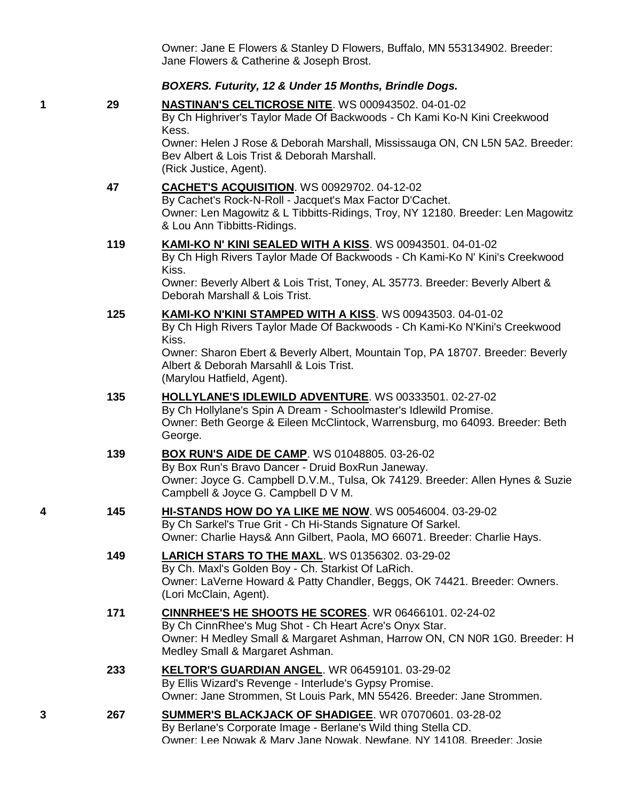Owner: Jane E Flowers & Stanley D Flowers, Buffalo, MN 553134902. Breeder: Jane Flowers & Catherine & Joseph Brost.

#### *BOXERS. Futurity, 12 & Under 15 Months, Brindle Dogs.*

**1 29 [NASTINAN'S CELTICROSE NITE](http://www.infodog.com/my/drlookup2.htm?makc=WS%20000943502&mdog=Nastinan%27s+Celticrose+Nite&wins=all)**. WS 000943502. 04-01-02 By Ch Highriver's Taylor Made Of Backwoods - Ch Kami Ko-N Kini Creekwood Kess. Owner: Helen J Rose & Deborah Marshall, Mississauga ON, CN L5N 5A2. Breeder: Bev Albert & Lois Trist & Deborah Marshall. (Rick Justice, Agent). **47 [CACHET'S ACQUISITION](http://www.infodog.com/my/drlookup2.htm?makc=WS%2000929702&mdog=Cachet%27s+Acquisition&wins=all)**. WS 00929702. 04-12-02 By Cachet's Rock-N-Roll - Jacquet's Max Factor D'Cachet. Owner: Len Magowitz & L Tibbitts-Ridings, Troy, NY 12180. Breeder: Len Magowitz & Lou Ann Tibbitts-Ridings. **119 [KAMI-KO N' KINI SEALED WITH A KISS](http://www.infodog.com/my/drlookup2.htm?makc=WS%2000943501&mdog=Kami-Ko+N%27+Kini+Sealed+With+A+Kiss&wins=all)**. WS 00943501. 04-01-02 By Ch High Rivers Taylor Made Of Backwoods - Ch Kami-Ko N' Kini's Creekwood Kiss. Owner: Beverly Albert & Lois Trist, Toney, AL 35773. Breeder: Beverly Albert & Deborah Marshall & Lois Trist. **125 [KAMI-KO N'KINI STAMPED WITH A KISS](http://www.infodog.com/my/drlookup2.htm?makc=WS%2000943503&mdog=Kami-Ko+N%27Kini+Stamped+With+A+Kiss&wins=all)**. WS 00943503. 04-01-02 By Ch High Rivers Taylor Made Of Backwoods - Ch Kami-Ko N'Kini's Creekwood Kiss. Owner: Sharon Ebert & Beverly Albert, Mountain Top, PA 18707. Breeder: Beverly Albert & Deborah Marsahll & Lois Trist. (Marylou Hatfield, Agent). **135 [HOLLYLANE'S IDLEWILD ADVENTURE](http://www.infodog.com/my/drlookup2.htm?makc=WS%2000333501&mdog=Hollylane%27s+Idlewild+Adventure&wins=all)**. WS 00333501. 02-27-02 By Ch Hollylane's Spin A Dream - Schoolmaster's Idlewild Promise. Owner: Beth George & Eileen McClintock, Warrensburg, mo 64093. Breeder: Beth George. **139 [BOX RUN'S AIDE DE CAMP](http://www.infodog.com/my/drlookup2.htm?makc=WS%2001048805&mdog=Box+Run%27s+Aide+De+Camp&wins=all)**. WS 01048805. 03-26-02 By Box Run's Bravo Dancer - Druid BoxRun Janeway. Owner: Joyce G. Campbell D.V.M., Tulsa, Ok 74129. Breeder: Allen Hynes & Suzie Campbell & Joyce G. Campbell D V M.

- **4 145 [HI-STANDS HOW DO YA LIKE ME NOW](http://www.infodog.com/my/drlookup2.htm?makc=WS%2000546004&mdog=Hi-Stands+How+Do+Ya+Like+Me+Now&wins=all)**. WS 00546004. 03-29-02 By Ch Sarkel's True Grit - Ch Hi-Stands Signature Of Sarkel. Owner: Charlie Hays& Ann Gilbert, Paola, MO 66071. Breeder: Charlie Hays.
	- **149 [LARICH STARS TO THE MAXL](http://www.infodog.com/my/drlookup2.htm?makc=WS%2001356302&mdog=LaRich+Stars+To+The+Maxl&wins=all)**. WS 01356302. 03-29-02 By Ch. Maxl's Golden Boy - Ch. Starkist Of LaRich. Owner: LaVerne Howard & Patty Chandler, Beggs, OK 74421. Breeder: Owners. (Lori McClain, Agent).
	- **171 [CINNRHEE'S HE SHOOTS HE SCORES](http://www.infodog.com/my/drlookup2.htm?makc=WR%2006466101&mdog=CinnRhee%27s+He+Shoots+He+Scores&wins=all)**. WR 06466101. 02-24-02 By Ch CinnRhee's Mug Shot - Ch Heart Acre's Onyx Star. Owner: H Medley Small & Margaret Ashman, Harrow ON, CN N0R 1G0. Breeder: H Medley Small & Margaret Ashman.
	- **233 [KELTOR'S GUARDIAN ANGEL](http://www.infodog.com/my/drlookup2.htm?makc=WR%2006459101&mdog=Keltor%27s+Guardian+Angel&wins=all)**. WR 06459101. 03-29-02 By Ellis Wizard's Revenge - Interlude's Gypsy Promise. Owner: Jane Strommen, St Louis Park, MN 55426. Breeder: Jane Strommen.
- **3 267 [SUMMER'S BLACKJACK OF SHADIGEE](http://www.infodog.com/my/drlookup2.htm?makc=WR%2007070601&mdog=Summer%27s+Blackjack+Of+Shadigee&wins=all)**. WR 07070601. 03-28-02 By Berlane's Corporate Image - Berlane's Wild thing Stella CD. Owner: Lee Nowak & Mary Jane Nowak, Newfane, NY 14108. Breeder: Josie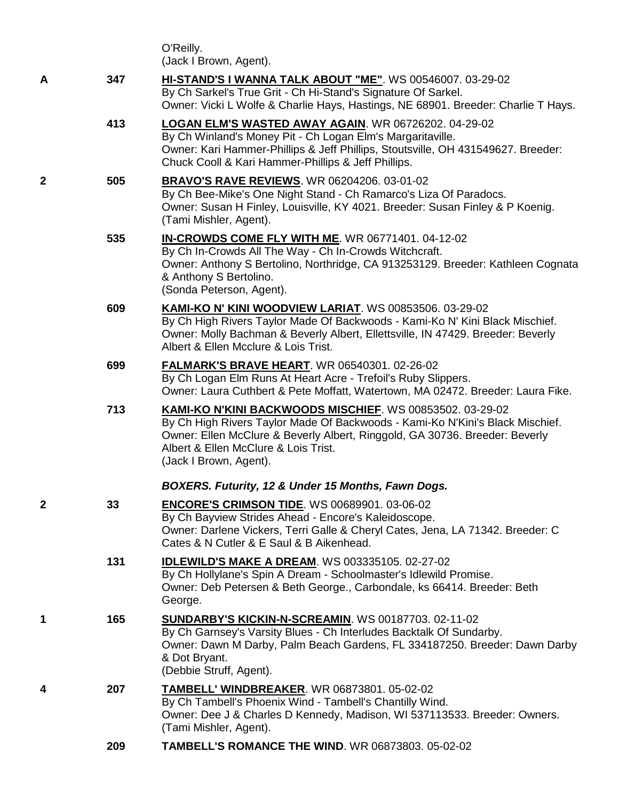|   |     | O'Reilly.<br>(Jack I Brown, Agent).                                                                                                                                                                                                                                                        |
|---|-----|--------------------------------------------------------------------------------------------------------------------------------------------------------------------------------------------------------------------------------------------------------------------------------------------|
| Α | 347 | HI-STAND'S I WANNA TALK ABOUT "ME". WS 00546007. 03-29-02<br>By Ch Sarkel's True Grit - Ch Hi-Stand's Signature Of Sarkel.<br>Owner: Vicki L Wolfe & Charlie Hays, Hastings, NE 68901. Breeder: Charlie T Hays.                                                                            |
|   | 413 | LOGAN ELM'S WASTED AWAY AGAIN. WR 06726202. 04-29-02<br>By Ch Winland's Money Pit - Ch Logan Elm's Margaritaville.<br>Owner: Kari Hammer-Phillips & Jeff Phillips, Stoutsville, OH 431549627. Breeder:<br>Chuck Cooll & Kari Hammer-Phillips & Jeff Phillips.                              |
| 2 | 505 | <b>BRAVO'S RAVE REVIEWS. WR 06204206. 03-01-02</b><br>By Ch Bee-Mike's One Night Stand - Ch Ramarco's Liza Of Paradocs.<br>Owner: Susan H Finley, Louisville, KY 4021. Breeder: Susan Finley & P Koenig.<br>(Tami Mishler, Agent).                                                         |
|   | 535 | IN-CROWDS COME FLY WITH ME. WR 06771401. 04-12-02<br>By Ch In-Crowds All The Way - Ch In-Crowds Witchcraft.<br>Owner: Anthony S Bertolino, Northridge, CA 913253129. Breeder: Kathleen Cognata<br>& Anthony S Bertolino.<br>(Sonda Peterson, Agent).                                       |
|   | 609 | KAMI-KO N' KINI WOODVIEW LARIAT. WS 00853506. 03-29-02<br>By Ch High Rivers Taylor Made Of Backwoods - Kami-Ko N' Kini Black Mischief.<br>Owner: Molly Bachman & Beverly Albert, Ellettsville, IN 47429. Breeder: Beverly<br>Albert & Ellen Mcclure & Lois Trist.                          |
|   | 699 | <b>FALMARK'S BRAVE HEART. WR 06540301. 02-26-02</b><br>By Ch Logan Elm Runs At Heart Acre - Trefoil's Ruby Slippers.<br>Owner: Laura Cuthbert & Pete Moffatt, Watertown, MA 02472. Breeder: Laura Fike.                                                                                    |
|   | 713 | KAMI-KO N'KINI BACKWOODS MISCHIEF. WS 00853502. 03-29-02<br>By Ch High Rivers Taylor Made Of Backwoods - Kami-Ko N'Kini's Black Mischief.<br>Owner: Ellen McClure & Beverly Albert, Ringgold, GA 30736. Breeder: Beverly<br>Albert & Ellen McClure & Lois Trist.<br>(Jack I Brown, Agent). |
|   |     | BOXERS. Futurity, 12 & Under 15 Months, Fawn Dogs.                                                                                                                                                                                                                                         |
| 2 | 33  | <b>ENCORE'S CRIMSON TIDE. WS 00689901. 03-06-02</b><br>By Ch Bayview Strides Ahead - Encore's Kaleidoscope.<br>Owner: Darlene Vickers, Terri Galle & Cheryl Cates, Jena, LA 71342. Breeder: C<br>Cates & N Cutler & E Saul & B Aikenhead.                                                  |
|   | 131 | <b>IDLEWILD'S MAKE A DREAM.</b> WS 003335105. 02-27-02<br>By Ch Hollylane's Spin A Dream - Schoolmaster's Idlewild Promise.<br>Owner: Deb Petersen & Beth George., Carbondale, ks 66414. Breeder: Beth<br>George.                                                                          |
| 1 | 165 | <b>SUNDARBY'S KICKIN-N-SCREAMIN.</b> WS 00187703. 02-11-02<br>By Ch Garnsey's Varsity Blues - Ch Interludes Backtalk Of Sundarby.<br>Owner: Dawn M Darby, Palm Beach Gardens, FL 334187250. Breeder: Dawn Darby<br>& Dot Bryant.<br>(Debbie Struff, Agent).                                |
|   | 207 | <b>TAMBELL' WINDBREAKER. WR 06873801. 05-02-02</b><br>By Ch Tambell's Phoenix Wind - Tambell's Chantilly Wind.<br>Owner: Dee J & Charles D Kennedy, Madison, WI 537113533. Breeder: Owners.<br>(Tami Mishler, Agent).                                                                      |

**209 [TAMBELL'S ROMANCE THE WIND](http://www.infodog.com/my/drlookup2.htm?makc=WR%2006873803&mdog=Tambell%27s+Romance+The+Wind&wins=all)**. WR 06873803. 05-02-02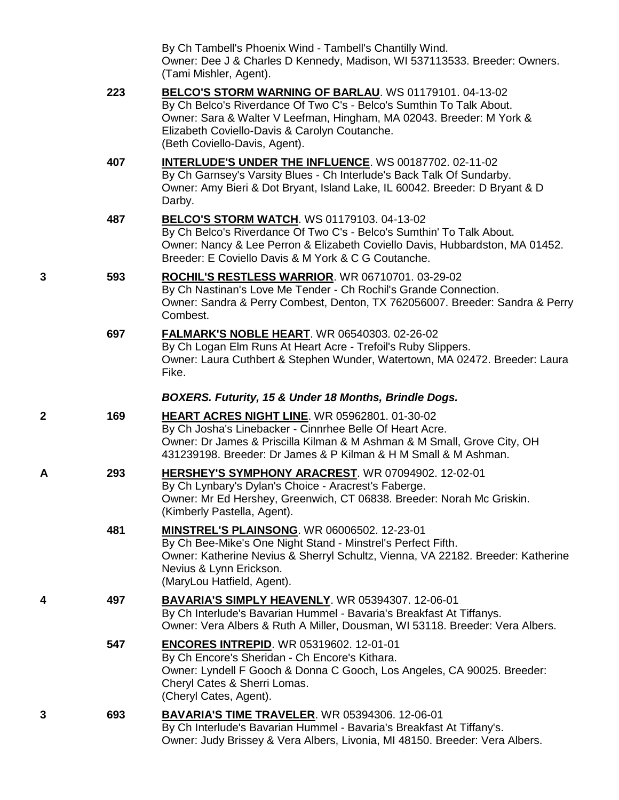By Ch Tambell's Phoenix Wind - Tambell's Chantilly Wind. Owner: Dee J & Charles D Kennedy, Madison, WI 537113533. Breeder: Owners. (Tami Mishler, Agent).

|   | 223 | BELCO'S STORM WARNING OF BARLAU. WS 01179101. 04-13-02<br>By Ch Belco's Riverdance Of Two C's - Belco's Sumthin To Talk About.<br>Owner: Sara & Walter V Leefman, Hingham, MA 02043. Breeder: M York &<br>Elizabeth Coviello-Davis & Carolyn Coutanche.<br>(Beth Coviello-Davis, Agent). |
|---|-----|------------------------------------------------------------------------------------------------------------------------------------------------------------------------------------------------------------------------------------------------------------------------------------------|
|   | 407 | <b>INTERLUDE'S UNDER THE INFLUENCE.</b> WS 00187702. 02-11-02<br>By Ch Garnsey's Varsity Blues - Ch Interlude's Back Talk Of Sundarby.<br>Owner: Amy Bieri & Dot Bryant, Island Lake, IL 60042. Breeder: D Bryant & D<br>Darby.                                                          |
|   | 487 | BELCO'S STORM WATCH. WS 01179103. 04-13-02<br>By Ch Belco's Riverdance Of Two C's - Belco's Sumthin' To Talk About.<br>Owner: Nancy & Lee Perron & Elizabeth Coviello Davis, Hubbardston, MA 01452.<br>Breeder: E Coviello Davis & M York & C G Coutanche.                               |
| 3 | 593 | <b>ROCHIL'S RESTLESS WARRIOR. WR 06710701. 03-29-02</b><br>By Ch Nastinan's Love Me Tender - Ch Rochil's Grande Connection.<br>Owner: Sandra & Perry Combest, Denton, TX 762056007. Breeder: Sandra & Perry<br>Combest.                                                                  |
|   | 697 | <b>FALMARK'S NOBLE HEART.</b> WR 06540303. 02-26-02<br>By Ch Logan Elm Runs At Heart Acre - Trefoil's Ruby Slippers.<br>Owner: Laura Cuthbert & Stephen Wunder, Watertown, MA 02472. Breeder: Laura<br>Fike.                                                                             |
|   |     | BOXERS. Futurity, 15 & Under 18 Months, Brindle Dogs.                                                                                                                                                                                                                                    |
| 2 | 169 | <b>HEART ACRES NIGHT LINE. WR 05962801. 01-30-02</b><br>By Ch Josha's Linebacker - Cinnrhee Belle Of Heart Acre.<br>Owner: Dr James & Priscilla Kilman & M Ashman & M Small, Grove City, OH<br>431239198. Breeder: Dr James & P Kilman & H M Small & M Ashman.                           |
| Α | 293 | HERSHEY'S SYMPHONY ARACREST. WR 07094902. 12-02-01<br>By Ch Lynbary's Dylan's Choice - Aracrest's Faberge.<br>Owner: Mr Ed Hershey, Greenwich, CT 06838. Breeder: Norah Mc Griskin.<br>(Kimberly Pastella, Agent).                                                                       |
|   | 481 | <b>MINSTREL'S PLAINSONG. WR 06006502. 12-23-01</b><br>By Ch Bee-Mike's One Night Stand - Minstrel's Perfect Fifth.<br>Owner: Katherine Nevius & Sherryl Schultz, Vienna, VA 22182. Breeder: Katherine<br>Nevius & Lynn Erickson.<br>(MaryLou Hatfield, Agent).                           |
| 4 | 497 | <b>BAVARIA'S SIMPLY HEAVENLY.</b> WR 05394307. 12-06-01<br>By Ch Interlude's Bavarian Hummel - Bavaria's Breakfast At Tiffanys.<br>Owner: Vera Albers & Ruth A Miller, Dousman, WI 53118. Breeder: Vera Albers.                                                                          |
|   | 547 | <b>ENCORES INTREPID.</b> WR 05319602. 12-01-01<br>By Ch Encore's Sheridan - Ch Encore's Kithara.<br>Owner: Lyndell F Gooch & Donna C Gooch, Los Angeles, CA 90025. Breeder:<br>Cheryl Cates & Sherri Lomas.<br>(Cheryl Cates, Agent).                                                    |
| 3 | 693 | <b>BAVARIA'S TIME TRAVELER.</b> WR 05394306. 12-06-01<br>By Ch Interlude's Bavarian Hummel - Bavaria's Breakfast At Tiffany's.<br>Owner: Judy Brissey & Vera Albers, Livonia, MI 48150. Breeder: Vera Albers.                                                                            |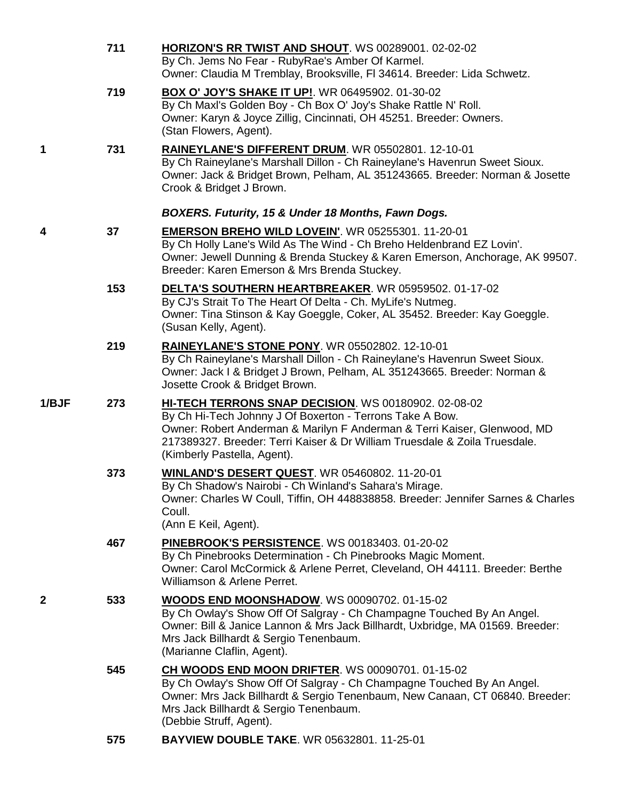|              | 711 | HORIZON'S RR TWIST AND SHOUT. WS 00289001. 02-02-02<br>By Ch. Jems No Fear - RubyRae's Amber Of Karmel.<br>Owner: Claudia M Tremblay, Brooksville, FI 34614. Breeder: Lida Schwetz.                                                                                                                       |
|--------------|-----|-----------------------------------------------------------------------------------------------------------------------------------------------------------------------------------------------------------------------------------------------------------------------------------------------------------|
|              | 719 | <b>BOX O' JOY'S SHAKE IT UP!.</b> WR 06495902. 01-30-02<br>By Ch Maxl's Golden Boy - Ch Box O' Joy's Shake Rattle N' Roll.<br>Owner: Karyn & Joyce Zillig, Cincinnati, OH 45251. Breeder: Owners.<br>(Stan Flowers, Agent).                                                                               |
| 1            | 731 | RAINEYLANE'S DIFFERENT DRUM. WR 05502801. 12-10-01<br>By Ch Raineylane's Marshall Dillon - Ch Raineylane's Havenrun Sweet Sioux.<br>Owner: Jack & Bridget Brown, Pelham, AL 351243665. Breeder: Norman & Josette<br>Crook & Bridget J Brown.                                                              |
|              |     | BOXERS. Futurity, 15 & Under 18 Months, Fawn Dogs.                                                                                                                                                                                                                                                        |
| 4            | 37  | <b>EMERSON BREHO WILD LOVEIN'.</b> WR 05255301. 11-20-01<br>By Ch Holly Lane's Wild As The Wind - Ch Breho Heldenbrand EZ Lovin'.<br>Owner: Jewell Dunning & Brenda Stuckey & Karen Emerson, Anchorage, AK 99507.<br>Breeder: Karen Emerson & Mrs Brenda Stuckey.                                         |
|              | 153 | <b>DELTA'S SOUTHERN HEARTBREAKER. WR 05959502. 01-17-02</b><br>By CJ's Strait To The Heart Of Delta - Ch. MyLife's Nutmeg.<br>Owner: Tina Stinson & Kay Goeggle, Coker, AL 35452. Breeder: Kay Goeggle.<br>(Susan Kelly, Agent).                                                                          |
|              | 219 | RAINEYLANE'S STONE PONY. WR 05502802. 12-10-01<br>By Ch Raineylane's Marshall Dillon - Ch Raineylane's Havenrun Sweet Sioux.<br>Owner: Jack I & Bridget J Brown, Pelham, AL 351243665. Breeder: Norman &<br>Josette Crook & Bridget Brown.                                                                |
| 1/BJF        | 273 | HI-TECH TERRONS SNAP DECISION. WS 00180902. 02-08-02<br>By Ch Hi-Tech Johnny J Of Boxerton - Terrons Take A Bow.<br>Owner: Robert Anderman & Marilyn F Anderman & Terri Kaiser, Glenwood, MD<br>217389327. Breeder: Terri Kaiser & Dr William Truesdale & Zoila Truesdale.<br>(Kimberly Pastella, Agent). |
|              | 373 | <b>WINLAND'S DESERT QUEST. WR 05460802. 11-20-01</b><br>By Ch Shadow's Nairobi - Ch Winland's Sahara's Mirage.<br>Owner: Charles W Coull, Tiffin, OH 448838858. Breeder: Jennifer Sarnes & Charles<br>Coull.<br>(Ann E Keil, Agent).                                                                      |
|              | 467 | PINEBROOK'S PERSISTENCE. WS 00183403. 01-20-02<br>By Ch Pinebrooks Determination - Ch Pinebrooks Magic Moment.<br>Owner: Carol McCormick & Arlene Perret, Cleveland, OH 44111. Breeder: Berthe<br>Williamson & Arlene Perret.                                                                             |
| $\mathbf{2}$ | 533 | <b>WOODS END MOONSHADOW.</b> WS 00090702. 01-15-02<br>By Ch Owlay's Show Off Of Salgray - Ch Champagne Touched By An Angel.<br>Owner: Bill & Janice Lannon & Mrs Jack Billhardt, Uxbridge, MA 01569. Breeder:<br>Mrs Jack Billhardt & Sergio Tenenbaum.<br>(Marianne Claflin, Agent).                     |
|              | 545 | CH WOODS END MOON DRIFTER. WS 00090701. 01-15-02<br>By Ch Owlay's Show Off Of Salgray - Ch Champagne Touched By An Angel.<br>Owner: Mrs Jack Billhardt & Sergio Tenenbaum, New Canaan, CT 06840. Breeder:<br>Mrs Jack Billhardt & Sergio Tenenbaum.<br>(Debbie Struff, Agent).                            |
|              | 575 | <b>BAYVIEW DOUBLE TAKE. WR 05632801. 11-25-01</b>                                                                                                                                                                                                                                                         |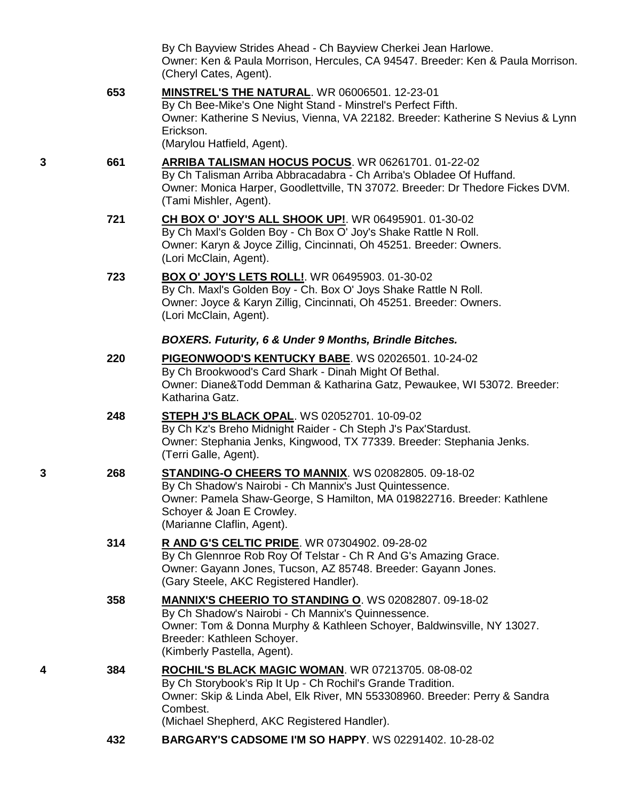By Ch Bayview Strides Ahead - Ch Bayview Cherkei Jean Harlowe. Owner: Ken & Paula Morrison, Hercules, CA 94547. Breeder: Ken & Paula Morrison. (Cheryl Cates, Agent).

**653 [MINSTREL'S THE NATURAL](http://www.infodog.com/my/drlookup2.htm?makc=WR%2006006501&mdog=Minstrel%27s+The+Natural&wins=all)**. WR 06006501. 12-23-01 By Ch Bee-Mike's One Night Stand - Minstrel's Perfect Fifth. Owner: Katherine S Nevius, Vienna, VA 22182. Breeder: Katherine S Nevius & Lynn Erickson. (Marylou Hatfield, Agent).

- **3 661 [ARRIBA TALISMAN HOCUS POCUS](http://www.infodog.com/my/drlookup2.htm?makc=WR%2006261701&mdog=Arriba+Talisman+Hocus+Pocus&wins=all)**. WR 06261701. 01-22-02 By Ch Talisman Arriba Abbracadabra - Ch Arriba's Obladee Of Huffand. Owner: Monica Harper, Goodlettville, TN 37072. Breeder: Dr Thedore Fickes DVM. (Tami Mishler, Agent).
	- **721 [CH BOX O' JOY'S ALL SHOOK UP!](http://www.infodog.com/my/drlookup2.htm?makc=WR%2006495901&mdog=Ch+Box+O%27+Joy%27s+All+Shook+Up!&wins=all)**. WR 06495901. 01-30-02 By Ch Maxl's Golden Boy - Ch Box O' Joy's Shake Rattle N Roll. Owner: Karyn & Joyce Zillig, Cincinnati, Oh 45251. Breeder: Owners. (Lori McClain, Agent).
	- **723 [BOX O' JOY'S LETS ROLL!](http://www.infodog.com/my/drlookup2.htm?makc=WR%2006495903&mdog=Box+O%27+Joy%27s+Lets+Roll!&wins=all)**. WR 06495903. 01-30-02 By Ch. Maxl's Golden Boy - Ch. Box O' Joys Shake Rattle N Roll. Owner: Joyce & Karyn Zillig, Cincinnati, Oh 45251. Breeder: Owners. (Lori McClain, Agent).

### *BOXERS. Futurity, 6 & Under 9 Months, Brindle Bitches.*

|   | 220 | PIGEONWOOD'S KENTUCKY BABE. WS 02026501. 10-24-02<br>By Ch Brookwood's Card Shark - Dinah Might Of Bethal.<br>Owner: Diane&Todd Demman & Katharina Gatz, Pewaukee, WI 53072. Breeder:<br>Katharina Gatz.                                                         |
|---|-----|------------------------------------------------------------------------------------------------------------------------------------------------------------------------------------------------------------------------------------------------------------------|
|   | 248 | <b>STEPH J'S BLACK OPAL. WS 02052701. 10-09-02</b><br>By Ch Kz's Breho Midnight Raider - Ch Steph J's Pax'Stardust.<br>Owner: Stephania Jenks, Kingwood, TX 77339. Breeder: Stephania Jenks.<br>(Terri Galle, Agent).                                            |
| 3 | 268 | STANDING-O CHEERS TO MANNIX. WS 02082805. 09-18-02<br>By Ch Shadow's Nairobi - Ch Mannix's Just Quintessence.<br>Owner: Pamela Shaw-George, S Hamilton, MA 019822716. Breeder: Kathlene<br>Schoyer & Joan E Crowley.<br>(Marianne Claflin, Agent).               |
|   | 314 | R AND G'S CELTIC PRIDE. WR 07304902. 09-28-02<br>By Ch Glennroe Rob Roy Of Telstar - Ch R And G's Amazing Grace.<br>Owner: Gayann Jones, Tucson, AZ 85748. Breeder: Gayann Jones.<br>(Gary Steele, AKC Registered Handler).                                      |
|   | 358 | <b>MANNIX'S CHEERIO TO STANDING O. WS 02082807. 09-18-02</b><br>By Ch Shadow's Nairobi - Ch Mannix's Quinnessence.<br>Owner: Tom & Donna Murphy & Kathleen Schoyer, Baldwinsville, NY 13027.<br>Breeder: Kathleen Schoyer.<br>(Kimberly Pastella, Agent).        |
| 4 | 384 | <b>ROCHIL'S BLACK MAGIC WOMAN. WR 07213705. 08-08-02</b><br>By Ch Storybook's Rip It Up - Ch Rochil's Grande Tradition.<br>Owner: Skip & Linda Abel, Elk River, MN 553308960. Breeder: Perry & Sandra<br>Combest.<br>(Michael Shepherd, AKC Registered Handler). |
|   | 432 | <b>BARGARY'S CADSOME I'M SO HAPPY.</b> WS 02291402, 10-28-02                                                                                                                                                                                                     |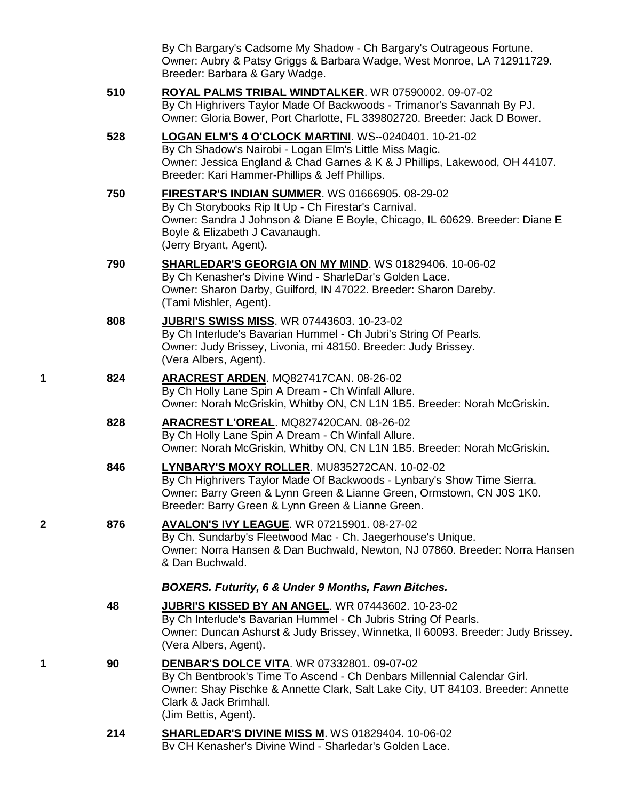By Ch Bargary's Cadsome My Shadow - Ch Bargary's Outrageous Fortune. Owner: Aubry & Patsy Griggs & Barbara Wadge, West Monroe, LA 712911729. Breeder: Barbara & Gary Wadge.

- **510 [ROYAL PALMS TRIBAL WINDTALKER](http://www.infodog.com/my/drlookup2.htm?makc=WR%2007590002&mdog=Royal+Palms+Tribal+Windtalker&wins=all)**. WR 07590002. 09-07-02 By Ch Highrivers Taylor Made Of Backwoods - Trimanor's Savannah By PJ. Owner: Gloria Bower, Port Charlotte, FL 339802720. Breeder: Jack D Bower. **528 [LOGAN ELM'S 4 O'CLOCK MARTINI](http://www.infodog.com/my/drlookup2.htm?makc=WS--0240401&mdog=Logan+Elm%27s+4+O%27Clock+Martini&wins=all)**. WS--0240401. 10-21-02 By Ch Shadow's Nairobi - Logan Elm's Little Miss Magic. Owner: Jessica England & Chad Garnes & K & J Phillips, Lakewood, OH 44107. Breeder: Kari Hammer-Phillips & Jeff Phillips. **750 [FIRESTAR'S INDIAN SUMMER](http://www.infodog.com/my/drlookup2.htm?makc=WS%2001666905&mdog=Firestar%27s+Indian+Summer&wins=all)**. WS 01666905. 08-29-02 By Ch Storybooks Rip It Up - Ch Firestar's Carnival. Owner: Sandra J Johnson & Diane E Boyle, Chicago, IL 60629. Breeder: Diane E Boyle & Elizabeth J Cavanaugh. (Jerry Bryant, Agent). **790 [SHARLEDAR'S GEORGIA ON MY MIND](http://www.infodog.com/my/drlookup2.htm?makc=WS%2001829406&mdog=SharleDar%27s+Georgia+On+My+Mind&wins=all)**. WS 01829406. 10-06-02 By Ch Kenasher's Divine Wind - SharleDar's Golden Lace. Owner: Sharon Darby, Guilford, IN 47022. Breeder: Sharon Dareby. (Tami Mishler, Agent). **808 [JUBRI'S SWISS MISS](http://www.infodog.com/my/drlookup2.htm?makc=WR%2007443603&mdog=Jubri%27s+Swiss+Miss&wins=all)**. WR 07443603. 10-23-02 By Ch Interlude's Bavarian Hummel - Ch Jubri's String Of Pearls. Owner: Judy Brissey, Livonia, mi 48150. Breeder: Judy Brissey. (Vera Albers, Agent). **1 824 [ARACREST ARDEN](http://www.infodog.com/my/drlookup2.htm?makc=MQ827417CAN&mdog=Aracrest+Arden&wins=all)**. MQ827417CAN. 08-26-02 By Ch Holly Lane Spin A Dream - Ch Winfall Allure. Owner: Norah McGriskin, Whitby ON, CN L1N 1B5. Breeder: Norah McGriskin. **828 [ARACREST L'OREAL](http://www.infodog.com/my/drlookup2.htm?makc=MQ827420CAN&mdog=Aracrest+L%27Oreal&wins=all)**. MQ827420CAN. 08-26-02 By Ch Holly Lane Spin A Dream - Ch Winfall Allure. Owner: Norah McGriskin, Whitby ON, CN L1N 1B5. Breeder: Norah McGriskin. **846 [LYNBARY'S MOXY ROLLER](http://www.infodog.com/my/drlookup2.htm?makc=MU835272CAN&mdog=Lynbary%27s+Moxy+Roller&wins=all)**. MU835272CAN. 10-02-02 By Ch Highrivers Taylor Made Of Backwoods - Lynbary's Show Time Sierra. Owner: Barry Green & Lynn Green & Lianne Green, Ormstown, CN J0S 1K0. Breeder: Barry Green & Lynn Green & Lianne Green. **2 876 [AVALON'S IVY LEAGUE](http://www.infodog.com/my/drlookup2.htm?makc=WR%2007215901&mdog=Avalon%27s+Ivy+League&wins=all)**. WR 07215901. 08-27-02 By Ch. Sundarby's Fleetwood Mac - Ch. Jaegerhouse's Unique. Owner: Norra Hansen & Dan Buchwald, Newton, NJ 07860. Breeder: Norra Hansen & Dan Buchwald. *BOXERS. Futurity, 6 & Under 9 Months, Fawn Bitches.* **48 [JUBRI'S KISSED BY AN ANGEL](http://www.infodog.com/my/drlookup2.htm?makc=WR%2007443602&mdog=Jubri%27s+Kissed+By+An+Angel&wins=all)**. WR 07443602. 10-23-02 By Ch Interlude's Bavarian Hummel - Ch Jubris String Of Pearls. Owner: Duncan Ashurst & Judy Brissey, Winnetka, Il 60093. Breeder: Judy Brissey. (Vera Albers, Agent). **1 90 [DENBAR'S DOLCE VITA](http://www.infodog.com/my/drlookup2.htm?makc=WR%2007332801&mdog=Denbar%27S+Dolce+Vita&wins=all)**. WR 07332801. 09-07-02
	- By Ch Bentbrook's Time To Ascend Ch Denbars Millennial Calendar Girl. Owner: Shay Pischke & Annette Clark, Salt Lake City, UT 84103. Breeder: Annette Clark & Jack Brimhall. (Jim Bettis, Agent).
	- **214 [SHARLEDAR'S DIVINE MISS M](http://www.infodog.com/my/drlookup2.htm?makc=WS%2001829404&mdog=Sharledar%27s+Divine+Miss+M&wins=all)**. WS 01829404. 10-06-02 By CH Kenasher's Divine Wind - Sharledar's Golden Lace.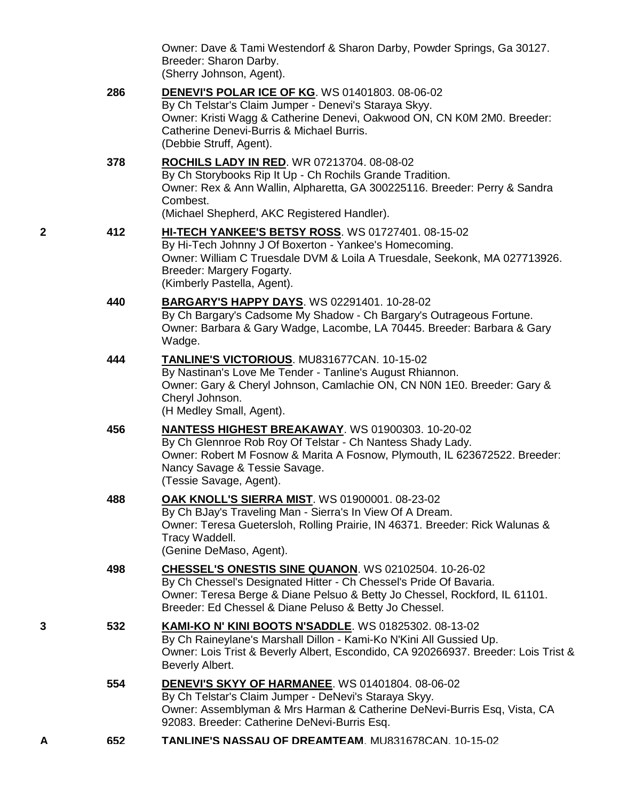|   |     | Owner: Dave & Tami Westendorf & Sharon Darby, Powder Springs, Ga 30127.<br>Breeder: Sharon Darby.<br>(Sherry Johnson, Agent).                                                                                                                                             |
|---|-----|---------------------------------------------------------------------------------------------------------------------------------------------------------------------------------------------------------------------------------------------------------------------------|
|   | 286 | DENEVI'S POLAR ICE OF KG. WS 01401803. 08-06-02<br>By Ch Telstar's Claim Jumper - Denevi's Staraya Skyy.<br>Owner: Kristi Wagg & Catherine Denevi, Oakwood ON, CN K0M 2M0. Breeder:<br>Catherine Denevi-Burris & Michael Burris.<br>(Debbie Struff, Agent).               |
|   | 378 | ROCHILS LADY IN RED. WR 07213704. 08-08-02<br>By Ch Storybooks Rip It Up - Ch Rochils Grande Tradition.<br>Owner: Rex & Ann Wallin, Alpharetta, GA 300225116. Breeder: Perry & Sandra<br>Combest.<br>(Michael Shepherd, AKC Registered Handler).                          |
| 2 | 412 | HI-TECH YANKEE'S BETSY ROSS. WS 01727401. 08-15-02<br>By Hi-Tech Johnny J Of Boxerton - Yankee's Homecoming.<br>Owner: William C Truesdale DVM & Loila A Truesdale, Seekonk, MA 027713926.<br>Breeder: Margery Fogarty.<br>(Kimberly Pastella, Agent).                    |
|   | 440 | <b>BARGARY'S HAPPY DAYS. WS 02291401. 10-28-02</b><br>By Ch Bargary's Cadsome My Shadow - Ch Bargary's Outrageous Fortune.<br>Owner: Barbara & Gary Wadge, Lacombe, LA 70445. Breeder: Barbara & Gary<br>Wadge.                                                           |
|   | 444 | <b>TANLINE'S VICTORIOUS. MU831677CAN. 10-15-02</b><br>By Nastinan's Love Me Tender - Tanline's August Rhiannon.<br>Owner: Gary & Cheryl Johnson, Camlachie ON, CN N0N 1E0. Breeder: Gary &<br>Cheryl Johnson.<br>(H Medley Small, Agent).                                 |
|   | 456 | <b>NANTESS HIGHEST BREAKAWAY.</b> WS 01900303. 10-20-02<br>By Ch Glennroe Rob Roy Of Telstar - Ch Nantess Shady Lady.<br>Owner: Robert M Fosnow & Marita A Fosnow, Plymouth, IL 623672522. Breeder:<br>Nancy Savage & Tessie Savage.<br>(Tessie Savage, Agent).           |
|   | 488 | OAK KNOLL'S SIERRA MIST. WS 01900001. 08-23-02<br>By Ch BJay's Traveling Man - Sierra's In View Of A Dream.<br>Owner: Teresa Guetersloh, Rolling Prairie, IN 46371. Breeder: Rick Walunas &<br>Tracy Waddell.<br>(Genine DeMaso, Agent).                                  |
|   | 498 | <b>CHESSEL'S ONESTIS SINE QUANON. WS 02102504. 10-26-02</b><br>By Ch Chessel's Designated Hitter - Ch Chessel's Pride Of Bavaria.<br>Owner: Teresa Berge & Diane Pelsuo & Betty Jo Chessel, Rockford, IL 61101.<br>Breeder: Ed Chessel & Diane Peluso & Betty Jo Chessel. |
| 3 | 532 | <b>KAMI-KO N' KINI BOOTS N'SADDLE.</b> WS 01825302. 08-13-02<br>By Ch Raineylane's Marshall Dillon - Kami-Ko N'Kini All Gussied Up.<br>Owner: Lois Trist & Beverly Albert, Escondido, CA 920266937. Breeder: Lois Trist &<br>Beverly Albert.                              |
|   | 554 | <b>DENEVI'S SKYY OF HARMANEE.</b> WS 01401804. 08-06-02<br>By Ch Telstar's Claim Jumper - DeNevi's Staraya Skyy.<br>Owner: Assemblyman & Mrs Harman & Catherine DeNevi-Burris Esq, Vista, CA<br>92083. Breeder: Catherine DeNevi-Burris Esq.                              |
| A | 652 | TANLINE'S NASSAU OF DREAMTEAM. MU831678CAN. 10-15-02                                                                                                                                                                                                                      |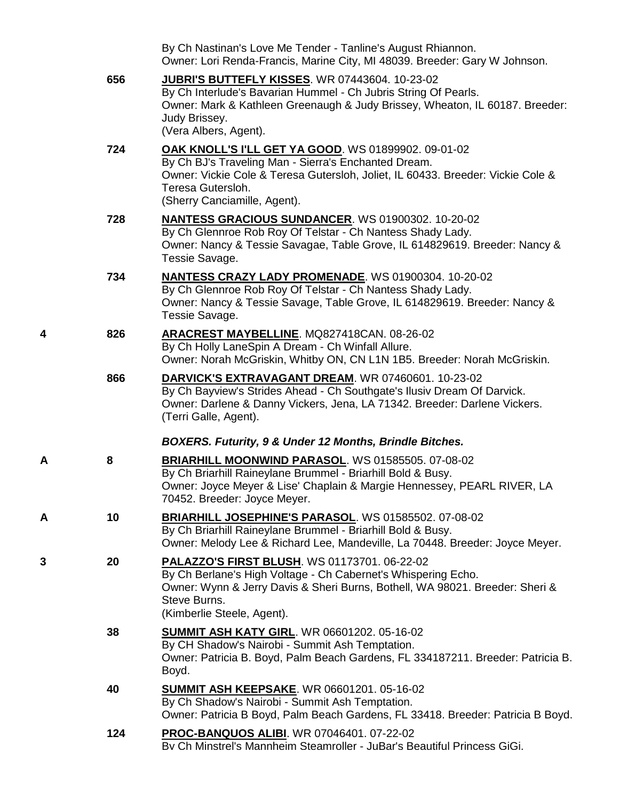|   |     | By Ch Nastinan's Love Me Tender - Tanline's August Rhiannon.<br>Owner: Lori Renda-Francis, Marine City, MI 48039. Breeder: Gary W Johnson.                                                                                                          |
|---|-----|-----------------------------------------------------------------------------------------------------------------------------------------------------------------------------------------------------------------------------------------------------|
|   | 656 | JUBRI'S BUTTEFLY KISSES. WR 07443604. 10-23-02<br>By Ch Interlude's Bavarian Hummel - Ch Jubris String Of Pearls.<br>Owner: Mark & Kathleen Greenaugh & Judy Brissey, Wheaton, IL 60187. Breeder:<br>Judy Brissey.<br>(Vera Albers, Agent).         |
|   | 724 | OAK KNOLL'S I'LL GET YA GOOD. WS 01899902. 09-01-02<br>By Ch BJ's Traveling Man - Sierra's Enchanted Dream.<br>Owner: Vickie Cole & Teresa Gutersloh, Joliet, IL 60433. Breeder: Vickie Cole &<br>Teresa Gutersloh.<br>(Sherry Canciamille, Agent). |
|   | 728 | NANTESS GRACIOUS SUNDANCER. WS 01900302. 10-20-02<br>By Ch Glennroe Rob Roy Of Telstar - Ch Nantess Shady Lady.<br>Owner: Nancy & Tessie Savagae, Table Grove, IL 614829619. Breeder: Nancy &<br>Tessie Savage.                                     |
|   | 734 | <b>NANTESS CRAZY LADY PROMENADE.</b> WS 01900304. 10-20-02<br>By Ch Glennroe Rob Roy Of Telstar - Ch Nantess Shady Lady.<br>Owner: Nancy & Tessie Savage, Table Grove, IL 614829619. Breeder: Nancy &<br>Tessie Savage.                             |
| 4 | 826 | ARACREST MAYBELLINE. MQ827418CAN. 08-26-02<br>By Ch Holly LaneSpin A Dream - Ch Winfall Allure.<br>Owner: Norah McGriskin, Whitby ON, CN L1N 1B5. Breeder: Norah McGriskin.                                                                         |
|   | 866 | DARVICK'S EXTRAVAGANT DREAM. WR 07460601. 10-23-02<br>By Ch Bayview's Strides Ahead - Ch Southgate's Ilusiv Dream Of Darvick.<br>Owner: Darlene & Danny Vickers, Jena, LA 71342. Breeder: Darlene Vickers.<br>(Terri Galle, Agent).                 |
|   |     | BOXERS. Futurity, 9 & Under 12 Months, Brindle Bitches.                                                                                                                                                                                             |
| Α | 8   | BRIARHILL MOONWIND PARASOL. WS 01585505. 07-08-02<br>By Ch Briarhill Raineylane Brummel - Briarhill Bold & Busy.<br>Owner: Joyce Meyer & Lise' Chaplain & Margie Hennessey, PEARL RIVER, LA<br>70452. Breeder: Joyce Meyer.                         |
| Α | 10  | BRIARHILL JOSEPHINE'S PARASOL. WS 01585502. 07-08-02<br>By Ch Briarhill Raineylane Brummel - Briarhill Bold & Busy.<br>Owner: Melody Lee & Richard Lee, Mandeville, La 70448. Breeder: Joyce Meyer.                                                 |
| 3 | 20  | PALAZZO'S FIRST BLUSH. WS 01173701. 06-22-02<br>By Ch Berlane's High Voltage - Ch Cabernet's Whispering Echo.<br>Owner: Wynn & Jerry Davis & Sheri Burns, Bothell, WA 98021. Breeder: Sheri &<br>Steve Burns.<br>(Kimberlie Steele, Agent).         |
|   | 38  | <b>SUMMIT ASH KATY GIRL. WR 06601202. 05-16-02</b><br>By CH Shadow's Nairobi - Summit Ash Temptation.<br>Owner: Patricia B. Boyd, Palm Beach Gardens, FL 334187211. Breeder: Patricia B.<br>Boyd.                                                   |
|   | 40  | <b>SUMMIT ASH KEEPSAKE. WR 06601201. 05-16-02</b><br>By Ch Shadow's Nairobi - Summit Ash Temptation.<br>Owner: Patricia B Boyd, Palm Beach Gardens, FL 33418. Breeder: Patricia B Boyd.                                                             |
|   | 124 | PROC-BANQUOS ALIBI. WR 07046401. 07-22-02<br>Bv Ch Minstrel's Mannheim Steamroller - JuBar's Beautiful Princess GiGi.                                                                                                                               |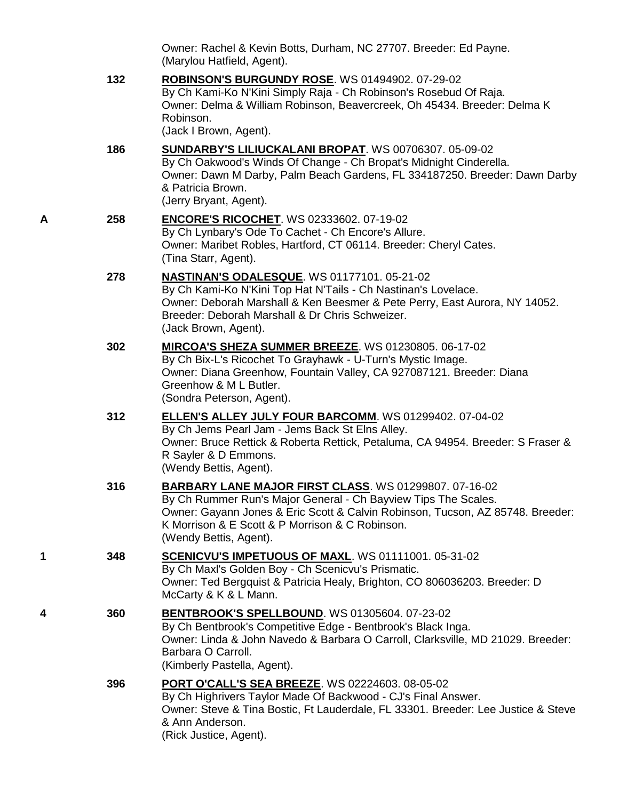Owner: Rachel & Kevin Botts, Durham, NC 27707. Breeder: Ed Payne. (Marylou Hatfield, Agent).

**132 [ROBINSON'S BURGUNDY ROSE](http://www.infodog.com/my/drlookup2.htm?makc=WS%2001494902&mdog=Robinson%27s+Burgundy+Rose&wins=all)**. WS 01494902. 07-29-02 By Ch Kami-Ko N'Kini Simply Raja - Ch Robinson's Rosebud Of Raja. Owner: Delma & William Robinson, Beavercreek, Oh 45434. Breeder: Delma K Robinson. (Jack I Brown, Agent).

- **186 [SUNDARBY'S LILIUCKALANI BROPAT](http://www.infodog.com/my/drlookup2.htm?makc=WS%2000706307&mdog=Sundarby%27s+Liliuckalani+Bropat&wins=all)**. WS 00706307. 05-09-02 By Ch Oakwood's Winds Of Change - Ch Bropat's Midnight Cinderella. Owner: Dawn M Darby, Palm Beach Gardens, FL 334187250. Breeder: Dawn Darby & Patricia Brown. (Jerry Bryant, Agent).
- **A 258 [ENCORE'S RICOCHET](http://www.infodog.com/my/drlookup2.htm?makc=WS%2002333602&mdog=Encore%27s+Ricochet&wins=all)**. WS 02333602. 07-19-02 By Ch Lynbary's Ode To Cachet - Ch Encore's Allure. Owner: Maribet Robles, Hartford, CT 06114. Breeder: Cheryl Cates. (Tina Starr, Agent).
	- **278 [NASTINAN'S ODALESQUE](http://www.infodog.com/my/drlookup2.htm?makc=WS%2001177101&mdog=Nastinan%27s+Odalesque&wins=all)**. WS 01177101. 05-21-02 By Ch Kami-Ko N'Kini Top Hat N'Tails - Ch Nastinan's Lovelace. Owner: Deborah Marshall & Ken Beesmer & Pete Perry, East Aurora, NY 14052. Breeder: Deborah Marshall & Dr Chris Schweizer. (Jack Brown, Agent).
	- **302 [MIRCOA'S SHEZA SUMMER BREEZE](http://www.infodog.com/my/drlookup2.htm?makc=WS%2001230805&mdog=Mircoa%27s+Sheza+Summer+Breeze&wins=all)**. WS 01230805. 06-17-02 By Ch Bix-L's Ricochet To Grayhawk - U-Turn's Mystic Image. Owner: Diana Greenhow, Fountain Valley, CA 927087121. Breeder: Diana Greenhow & M L Butler. (Sondra Peterson, Agent).
	- **312 [ELLEN'S ALLEY JULY FOUR BARCOMM](http://www.infodog.com/my/drlookup2.htm?makc=WS%2001299402&mdog=Ellen%27s+Alley+July+Four+Barcomm&wins=all)**. WS 01299402. 07-04-02 By Ch Jems Pearl Jam - Jems Back St Elns Alley. Owner: Bruce Rettick & Roberta Rettick, Petaluma, CA 94954. Breeder: S Fraser & R Sayler & D Emmons. (Wendy Bettis, Agent).
	- **316 [BARBARY LANE MAJOR FIRST CLASS](http://www.infodog.com/my/drlookup2.htm?makc=WS%2001299807&mdog=Barbary+Lane+Major+First+Class&wins=all)**. WS 01299807. 07-16-02 By Ch Rummer Run's Major General - Ch Bayview Tips The Scales. Owner: Gayann Jones & Eric Scott & Calvin Robinson, Tucson, AZ 85748. Breeder: K Morrison & E Scott & P Morrison & C Robinson. (Wendy Bettis, Agent).
- **1 348 [SCENICVU'S IMPETUOUS OF MAXL](http://www.infodog.com/my/drlookup2.htm?makc=WS%2001111001&mdog=Scenicvu%27s+Impetuous+Of+Maxl&wins=all)**. WS 01111001. 05-31-02 By Ch Maxl's Golden Boy - Ch Scenicvu's Prismatic. Owner: Ted Bergquist & Patricia Healy, Brighton, CO 806036203. Breeder: D McCarty & K & L Mann.
- **4 360 [BENTBROOK'S SPELLBOUND](http://www.infodog.com/my/drlookup2.htm?makc=WS%2001305604&mdog=Bentbrook%27s+Spellbound&wins=all)**. WS 01305604. 07-23-02 By Ch Bentbrook's Competitive Edge - Bentbrook's Black Inga. Owner: Linda & John Navedo & Barbara O Carroll, Clarksville, MD 21029. Breeder: Barbara O Carroll. (Kimberly Pastella, Agent).
	- **396 [PORT O'CALL'S SEA BREEZE](http://www.infodog.com/my/drlookup2.htm?makc=WS%2002224603&mdog=Port+O%27Call%27s+Sea+Breeze&wins=all)**. WS 02224603. 08-05-02 By Ch Highrivers Taylor Made Of Backwood - CJ's Final Answer. Owner: Steve & Tina Bostic, Ft Lauderdale, FL 33301. Breeder: Lee Justice & Steve & Ann Anderson. (Rick Justice, Agent).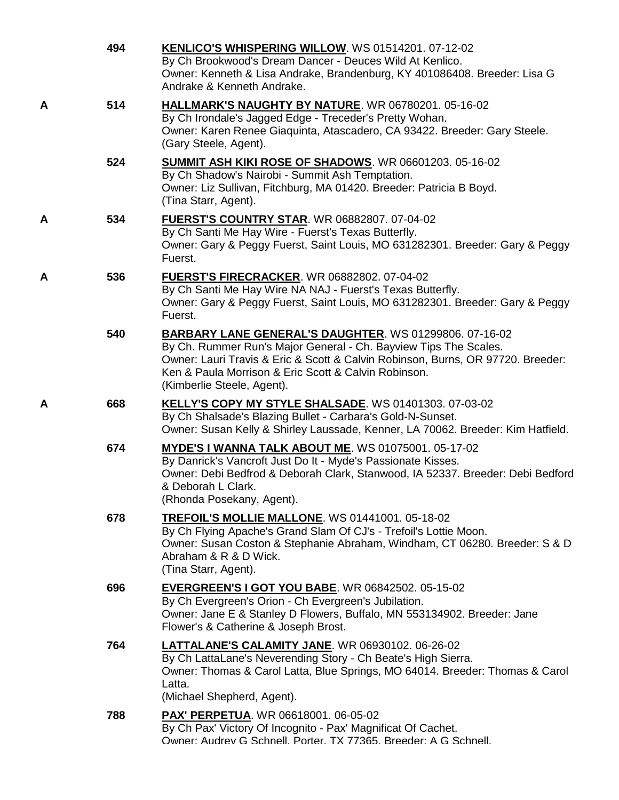|   | 494 | KENLICO'S WHISPERING WILLOW. WS 01514201. 07-12-02<br>By Ch Brookwood's Dream Dancer - Deuces Wild At Kenlico.<br>Owner: Kenneth & Lisa Andrake, Brandenburg, KY 401086408. Breeder: Lisa G<br>Andrake & Kenneth Andrake.                                                                                  |
|---|-----|------------------------------------------------------------------------------------------------------------------------------------------------------------------------------------------------------------------------------------------------------------------------------------------------------------|
| A | 514 | HALLMARK'S NAUGHTY BY NATURE. WR 06780201. 05-16-02<br>By Ch Irondale's Jagged Edge - Treceder's Pretty Wohan.<br>Owner: Karen Renee Giaquinta, Atascadero, CA 93422. Breeder: Gary Steele.<br>(Gary Steele, Agent).                                                                                       |
|   | 524 | SUMMIT ASH KIKI ROSE OF SHADOWS. WR 06601203. 05-16-02<br>By Ch Shadow's Nairobi - Summit Ash Temptation.<br>Owner: Liz Sullivan, Fitchburg, MA 01420. Breeder: Patricia B Boyd.<br>(Tina Starr, Agent).                                                                                                   |
| A | 534 | <b>FUERST'S COUNTRY STAR. WR 06882807. 07-04-02</b><br>By Ch Santi Me Hay Wire - Fuerst's Texas Butterfly.<br>Owner: Gary & Peggy Fuerst, Saint Louis, MO 631282301. Breeder: Gary & Peggy<br>Fuerst.                                                                                                      |
| A | 536 | <b>FUERST'S FIRECRACKER. WR 06882802. 07-04-02</b><br>By Ch Santi Me Hay Wire NA NAJ - Fuerst's Texas Butterfly.<br>Owner: Gary & Peggy Fuerst, Saint Louis, MO 631282301. Breeder: Gary & Peggy<br>Fuerst.                                                                                                |
|   | 540 | <b>BARBARY LANE GENERAL'S DAUGHTER. WS 01299806. 07-16-02</b><br>By Ch. Rummer Run's Major General - Ch. Bayview Tips The Scales.<br>Owner: Lauri Travis & Eric & Scott & Calvin Robinson, Burns, OR 97720. Breeder:<br>Ken & Paula Morrison & Eric Scott & Calvin Robinson.<br>(Kimberlie Steele, Agent). |
| A | 668 | <b>KELLY'S COPY MY STYLE SHALSADE.</b> WS 01401303. 07-03-02<br>By Ch Shalsade's Blazing Bullet - Carbara's Gold-N-Sunset.<br>Owner: Susan Kelly & Shirley Laussade, Kenner, LA 70062. Breeder: Kim Hatfield.                                                                                              |
|   | 674 | MYDE'S I WANNA TALK ABOUT ME. WS 01075001. 05-17-02<br>By Danrick's Vancroft Just Do It - Myde's Passionate Kisses.<br>Owner: Debi Bedfrod & Deborah Clark, Stanwood, IA 52337. Breeder: Debi Bedford<br>& Deborah L Clark.<br>(Rhonda Posekany, Agent).                                                   |
|   | 678 | <b>TREFOIL'S MOLLIE MALLONE.</b> WS 01441001. 05-18-02<br>By Ch Flying Apache's Grand Slam Of CJ's - Trefoil's Lottie Moon.<br>Owner: Susan Coston & Stephanie Abraham, Windham, CT 06280. Breeder: S & D<br>Abraham & R & D Wick.<br>(Tina Starr, Agent).                                                 |
|   | 696 | <b>EVERGREEN'S I GOT YOU BABE.</b> WR 06842502. 05-15-02<br>By Ch Evergreen's Orion - Ch Evergreen's Jubilation.<br>Owner: Jane E & Stanley D Flowers, Buffalo, MN 553134902. Breeder: Jane<br>Flower's & Catherine & Joseph Brost.                                                                        |
|   | 764 | <b>LATTALANE'S CALAMITY JANE. WR 06930102. 06-26-02</b><br>By Ch LattaLane's Neverending Story - Ch Beate's High Sierra.<br>Owner: Thomas & Carol Latta, Blue Springs, MO 64014. Breeder: Thomas & Carol<br>Latta.<br>(Michael Shepherd, Agent).                                                           |
|   | 788 | <b>PAX' PERPETUA. WR 06618001. 06-05-02</b><br>By Ch Pax' Victory Of Incognito - Pax' Magnificat Of Cachet.<br>Owner: Audrey G Schnell, Porter, TX 77365, Breeder: A G Schnell,                                                                                                                            |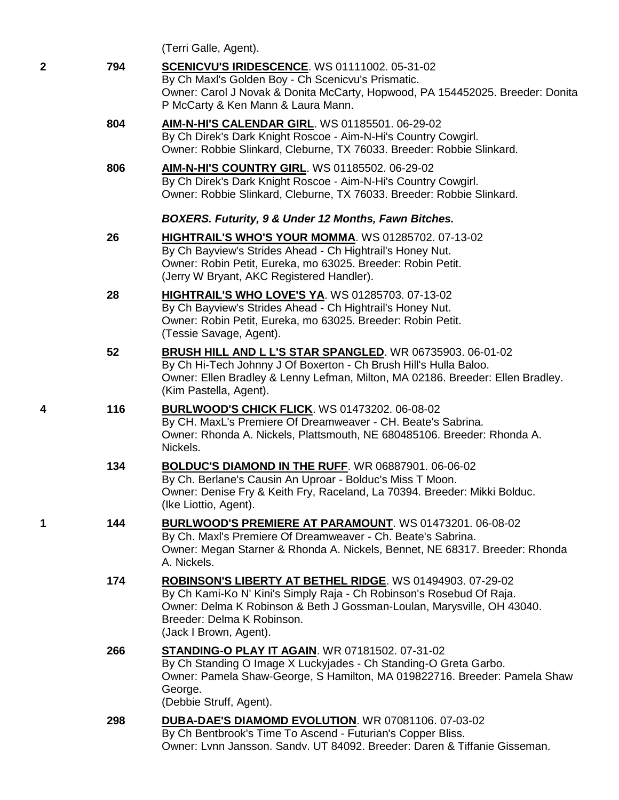|   |     | (Terri Galle, Agent).                                                                                                                                                                                                                                               |
|---|-----|---------------------------------------------------------------------------------------------------------------------------------------------------------------------------------------------------------------------------------------------------------------------|
| 2 | 794 | <b>SCENICVU'S IRIDESCENCE.</b> WS 01111002. 05-31-02<br>By Ch Maxl's Golden Boy - Ch Scenicvu's Prismatic.<br>Owner: Carol J Novak & Donita McCarty, Hopwood, PA 154452025. Breeder: Donita<br>P McCarty & Ken Mann & Laura Mann.                                   |
|   | 804 | <b>AIM-N-HI'S CALENDAR GIRL. WS 01185501. 06-29-02</b><br>By Ch Direk's Dark Knight Roscoe - Aim-N-Hi's Country Cowgirl.<br>Owner: Robbie Slinkard, Cleburne, TX 76033. Breeder: Robbie Slinkard.                                                                   |
|   | 806 | <b>AIM-N-HI'S COUNTRY GIRL. WS 01185502. 06-29-02</b><br>By Ch Direk's Dark Knight Roscoe - Aim-N-Hi's Country Cowgirl.<br>Owner: Robbie Slinkard, Cleburne, TX 76033. Breeder: Robbie Slinkard.                                                                    |
|   |     | BOXERS. Futurity, 9 & Under 12 Months, Fawn Bitches.                                                                                                                                                                                                                |
|   | 26  | <b>HIGHTRAIL'S WHO'S YOUR MOMMA. WS 01285702. 07-13-02</b><br>By Ch Bayview's Strides Ahead - Ch Hightrail's Honey Nut.<br>Owner: Robin Petit, Eureka, mo 63025. Breeder: Robin Petit.<br>(Jerry W Bryant, AKC Registered Handler).                                 |
|   | 28  | <b>HIGHTRAIL'S WHO LOVE'S YA. WS 01285703. 07-13-02</b><br>By Ch Bayview's Strides Ahead - Ch Hightrail's Honey Nut.<br>Owner: Robin Petit, Eureka, mo 63025. Breeder: Robin Petit.<br>(Tessie Savage, Agent).                                                      |
|   | 52  | <b>BRUSH HILL AND L L'S STAR SPANGLED.</b> WR 06735903. 06-01-02<br>By Ch Hi-Tech Johnny J Of Boxerton - Ch Brush Hill's Hulla Baloo.<br>Owner: Ellen Bradley & Lenny Lefman, Milton, MA 02186. Breeder: Ellen Bradley.<br>(Kim Pastella, Agent).                   |
| 4 | 116 | <b>BURLWOOD'S CHICK FLICK.</b> WS 01473202. 06-08-02<br>By CH. MaxL's Premiere Of Dreamweaver - CH. Beate's Sabrina.<br>Owner: Rhonda A. Nickels, Plattsmouth, NE 680485106. Breeder: Rhonda A.<br>Nickels.                                                         |
|   | 134 | <b>BOLDUC'S DIAMOND IN THE RUFF. WR 06887901. 06-06-02</b><br>By Ch. Berlane's Causin An Uproar - Bolduc's Miss T Moon.<br>Owner: Denise Fry & Keith Fry, Raceland, La 70394. Breeder: Mikki Bolduc.<br>(Ike Liottio, Agent).                                       |
| 1 | 144 | BURLWOOD'S PREMIERE AT PARAMOUNT. WS 01473201. 06-08-02<br>By Ch. Maxl's Premiere Of Dreamweaver - Ch. Beate's Sabrina.<br>Owner: Megan Starner & Rhonda A. Nickels, Bennet, NE 68317. Breeder: Rhonda<br>A. Nickels.                                               |
|   | 174 | ROBINSON'S LIBERTY AT BETHEL RIDGE. WS 01494903. 07-29-02<br>By Ch Kami-Ko N' Kini's Simply Raja - Ch Robinson's Rosebud Of Raja.<br>Owner: Delma K Robinson & Beth J Gossman-Loulan, Marysville, OH 43040.<br>Breeder: Delma K Robinson.<br>(Jack I Brown, Agent). |
|   | 266 | <b>STANDING-O PLAY IT AGAIN.</b> WR 07181502. 07-31-02<br>By Ch Standing O Image X Luckyjades - Ch Standing-O Greta Garbo.<br>Owner: Pamela Shaw-George, S Hamilton, MA 019822716. Breeder: Pamela Shaw<br>George.<br>(Debbie Struff, Agent).                       |
|   | 298 | DUBA-DAE'S DIAMOMD EVOLUTION. WR 07081106. 07-03-02<br>By Ch Bentbrook's Time To Ascend - Futurian's Copper Bliss.<br>Owner: Lvnn Jansson. Sandv. UT 84092. Breeder: Daren & Tiffanie Gisseman.                                                                     |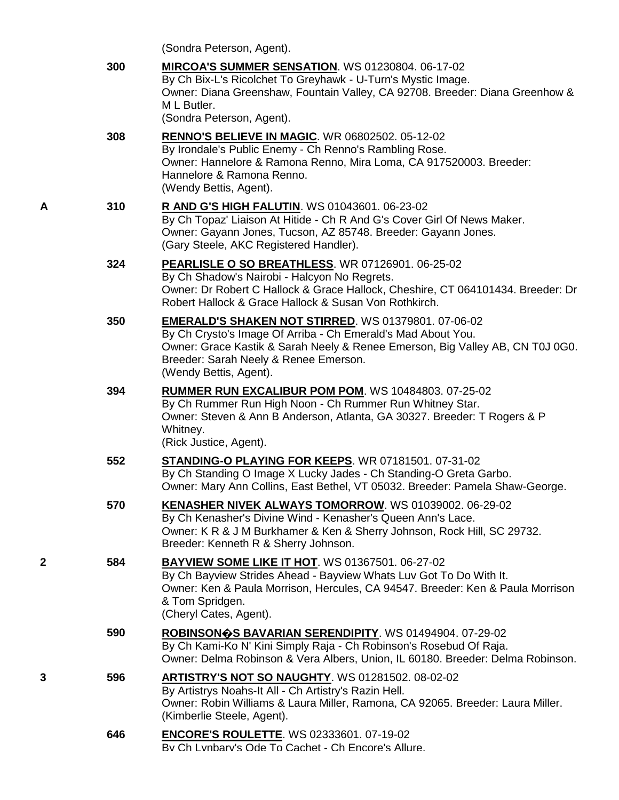(Sondra Peterson, Agent).

|   | 300 | MIRCOA'S SUMMER SENSATION. WS 01230804. 06-17-02<br>By Ch Bix-L's Ricolchet To Greyhawk - U-Turn's Mystic Image.<br>Owner: Diana Greenshaw, Fountain Valley, CA 92708. Breeder: Diana Greenhow &<br>M L Butler.<br>(Sondra Peterson, Agent).                                   |
|---|-----|--------------------------------------------------------------------------------------------------------------------------------------------------------------------------------------------------------------------------------------------------------------------------------|
|   | 308 | <b>RENNO'S BELIEVE IN MAGIC. WR 06802502. 05-12-02</b><br>By Irondale's Public Enemy - Ch Renno's Rambling Rose.<br>Owner: Hannelore & Ramona Renno, Mira Loma, CA 917520003. Breeder:<br>Hannelore & Ramona Renno.<br>(Wendy Bettis, Agent).                                  |
| Α | 310 | <b>R AND G'S HIGH FALUTIN. WS 01043601. 06-23-02</b><br>By Ch Topaz' Liaison At Hitide - Ch R And G's Cover Girl Of News Maker.<br>Owner: Gayann Jones, Tucson, AZ 85748. Breeder: Gayann Jones.<br>(Gary Steele, AKC Registered Handler).                                     |
|   | 324 | <b>PEARLISLE O SO BREATHLESS. WR 07126901. 06-25-02</b><br>By Ch Shadow's Nairobi - Halcyon No Regrets.<br>Owner: Dr Robert C Hallock & Grace Hallock, Cheshire, CT 064101434. Breeder: Dr<br>Robert Hallock & Grace Hallock & Susan Von Rothkirch.                            |
|   | 350 | <b>EMERALD'S SHAKEN NOT STIRRED. WS 01379801. 07-06-02</b><br>By Ch Crysto's Image Of Arriba - Ch Emerald's Mad About You.<br>Owner: Grace Kastik & Sarah Neely & Renee Emerson, Big Valley AB, CN T0J 0G0.<br>Breeder: Sarah Neely & Renee Emerson.<br>(Wendy Bettis, Agent). |
|   | 394 | <b>RUMMER RUN EXCALIBUR POM POM. WS 10484803. 07-25-02</b><br>By Ch Rummer Run High Noon - Ch Rummer Run Whitney Star.<br>Owner: Steven & Ann B Anderson, Atlanta, GA 30327. Breeder: T Rogers & P<br>Whitney.<br>(Rick Justice, Agent).                                       |
|   | 552 | <b>STANDING-O PLAYING FOR KEEPS. WR 07181501. 07-31-02</b><br>By Ch Standing O Image X Lucky Jades - Ch Standing-O Greta Garbo.<br>Owner: Mary Ann Collins, East Bethel, VT 05032. Breeder: Pamela Shaw-George.                                                                |
|   | 570 | KENASHER NIVEK ALWAYS TOMORROW. WS 01039002. 06-29-02<br>By Ch Kenasher's Divine Wind - Kenasher's Queen Ann's Lace.<br>Owner: K R & J M Burkhamer & Ken & Sherry Johnson, Rock Hill, SC 29732.<br>Breeder: Kenneth R & Sherry Johnson.                                        |
| 2 | 584 | <b>BAYVIEW SOME LIKE IT HOT. WS 01367501. 06-27-02</b><br>By Ch Bayview Strides Ahead - Bayview Whats Luv Got To Do With It.<br>Owner: Ken & Paula Morrison, Hercules, CA 94547. Breeder: Ken & Paula Morrison<br>& Tom Spridgen.<br>(Cheryl Cates, Agent).                    |
|   | 590 | ROBINSONOS BAVARIAN SERENDIPITY. WS 01494904. 07-29-02<br>By Ch Kami-Ko N' Kini Simply Raja - Ch Robinson's Rosebud Of Raja.<br>Owner: Delma Robinson & Vera Albers, Union, IL 60180. Breeder: Delma Robinson.                                                                 |
| 3 | 596 | ARTISTRY'S NOT SO NAUGHTY. WS 01281502. 08-02-02<br>By Artistrys Noahs-It All - Ch Artistry's Razin Hell.<br>Owner: Robin Williams & Laura Miller, Ramona, CA 92065. Breeder: Laura Miller.<br>(Kimberlie Steele, Agent).                                                      |
|   | 646 | <b>ENCORE'S ROULETTE. WS 02333601. 07-19-02</b><br>By Ch Lynbary's Ode To Cachet - Ch Encore's Allure.                                                                                                                                                                         |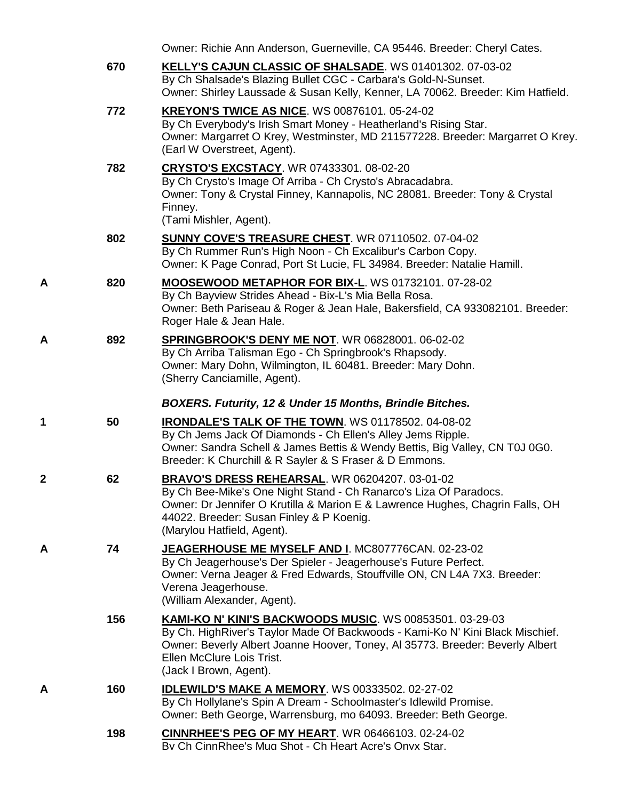|   |     | Owner: Richie Ann Anderson, Guerneville, CA 95446. Breeder: Cheryl Cates.                                                                                                                                                                                                                |
|---|-----|------------------------------------------------------------------------------------------------------------------------------------------------------------------------------------------------------------------------------------------------------------------------------------------|
|   | 670 | KELLY'S CAJUN CLASSIC OF SHALSADE. WS 01401302. 07-03-02<br>By Ch Shalsade's Blazing Bullet CGC - Carbara's Gold-N-Sunset.<br>Owner: Shirley Laussade & Susan Kelly, Kenner, LA 70062. Breeder: Kim Hatfield.                                                                            |
|   | 772 | KREYON'S TWICE AS NICE. WS 00876101. 05-24-02<br>By Ch Everybody's Irish Smart Money - Heatherland's Rising Star.<br>Owner: Margarret O Krey, Westminster, MD 211577228. Breeder: Margarret O Krey.<br>(Earl W Overstreet, Agent).                                                       |
|   | 782 | <b>CRYSTO'S EXCSTACY. WR 07433301. 08-02-20</b><br>By Ch Crysto's Image Of Arriba - Ch Crysto's Abracadabra.<br>Owner: Tony & Crystal Finney, Kannapolis, NC 28081. Breeder: Tony & Crystal<br>Finney.<br>(Tami Mishler, Agent).                                                         |
|   | 802 | <b>SUNNY COVE'S TREASURE CHEST. WR 07110502. 07-04-02</b><br>By Ch Rummer Run's High Noon - Ch Excalibur's Carbon Copy.<br>Owner: K Page Conrad, Port St Lucie, FL 34984. Breeder: Natalie Hamill.                                                                                       |
| Α | 820 | MOOSEWOOD METAPHOR FOR BIX-L. WS 01732101. 07-28-02<br>By Ch Bayview Strides Ahead - Bix-L's Mia Bella Rosa.<br>Owner: Beth Pariseau & Roger & Jean Hale, Bakersfield, CA 933082101. Breeder:<br>Roger Hale & Jean Hale.                                                                 |
| Α | 892 | SPRINGBROOK'S DENY ME NOT. WR 06828001. 06-02-02<br>By Ch Arriba Talisman Ego - Ch Springbrook's Rhapsody.<br>Owner: Mary Dohn, Wilmington, IL 60481. Breeder: Mary Dohn.<br>(Sherry Canciamille, Agent).                                                                                |
|   |     | BOXERS. Futurity, 12 & Under 15 Months, Brindle Bitches.                                                                                                                                                                                                                                 |
| 1 | 50  | <b>IRONDALE'S TALK OF THE TOWN. WS 01178502. 04-08-02</b><br>By Ch Jems Jack Of Diamonds - Ch Ellen's Alley Jems Ripple.<br>Owner: Sandra Schell & James Bettis & Wendy Bettis, Big Valley, CN T0J 0G0.<br>Breeder: K Churchill & R Sayler & S Fraser & D Emmons.                        |
| 2 | 62  | BRAVO'S DRESS REHEARSAL. WR 06204207. 03-01-02<br>By Ch Bee-Mike's One Night Stand - Ch Ranarco's Liza Of Paradocs.<br>Owner: Dr Jennifer O Krutilla & Marion E & Lawrence Hughes, Chagrin Falls, OH<br>44022. Breeder: Susan Finley & P Koenig.<br>(Marylou Hatfield, Agent).           |
| А | 74  | JEAGERHOUSE ME MYSELF AND I. MC807776CAN. 02-23-02<br>By Ch Jeagerhouse's Der Spieler - Jeagerhouse's Future Perfect.<br>Owner: Verna Jeager & Fred Edwards, Stouffville ON, CN L4A 7X3. Breeder:<br>Verena Jeagerhouse.<br>(William Alexander, Agent).                                  |
|   | 156 | <b>KAMI-KO N' KINI'S BACKWOODS MUSIC.</b> WS 00853501. 03-29-03<br>By Ch. HighRiver's Taylor Made Of Backwoods - Kami-Ko N' Kini Black Mischief.<br>Owner: Beverly Albert Joanne Hoover, Toney, AI 35773. Breeder: Beverly Albert<br>Ellen McClure Lois Trist.<br>(Jack I Brown, Agent). |
| Α | 160 | <b>IDLEWILD'S MAKE A MEMORY.</b> WS 00333502. 02-27-02                                                                                                                                                                                                                                   |
|   |     | By Ch Hollylane's Spin A Dream - Schoolmaster's Idlewild Promise.<br>Owner: Beth George, Warrensburg, mo 64093. Breeder: Beth George.                                                                                                                                                    |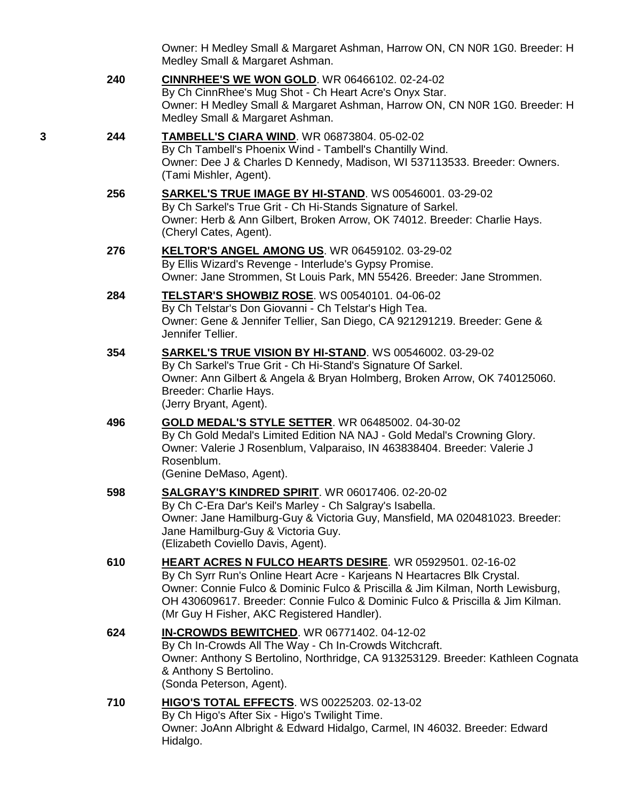Owner: H Medley Small & Margaret Ashman, Harrow ON, CN N0R 1G0. Breeder: H Medley Small & Margaret Ashman.

- **240 [CINNRHEE'S WE WON GOLD](http://www.infodog.com/my/drlookup2.htm?makc=WR%2006466102&mdog=CinnRhee%27s+We+Won+Gold&wins=all)**. WR 06466102. 02-24-02 By Ch CinnRhee's Mug Shot - Ch Heart Acre's Onyx Star. Owner: H Medley Small & Margaret Ashman, Harrow ON, CN N0R 1G0. Breeder: H Medley Small & Margaret Ashman.
- **3 244 [TAMBELL'S CIARA WIND](http://www.infodog.com/my/drlookup2.htm?makc=WR%2006873804&mdog=Tambell%27s+Ciara+Wind&wins=all)**. WR 06873804. 05-02-02 By Ch Tambell's Phoenix Wind - Tambell's Chantilly Wind. Owner: Dee J & Charles D Kennedy, Madison, WI 537113533. Breeder: Owners. (Tami Mishler, Agent).
	- **256 [SARKEL'S TRUE IMAGE BY HI-STAND](http://www.infodog.com/my/drlookup2.htm?makc=WS%2000546001&mdog=Sarkel%27s+True+Image+By+Hi-Stand&wins=all)**. WS 00546001. 03-29-02 By Ch Sarkel's True Grit - Ch Hi-Stands Signature of Sarkel. Owner: Herb & Ann Gilbert, Broken Arrow, OK 74012. Breeder: Charlie Hays. (Cheryl Cates, Agent).
	- **276 [KELTOR'S ANGEL AMONG US](http://www.infodog.com/my/drlookup2.htm?makc=WR%2006459102&mdog=Keltor%27s+Angel+Among+Us&wins=all)**. WR 06459102. 03-29-02 By Ellis Wizard's Revenge - Interlude's Gypsy Promise. Owner: Jane Strommen, St Louis Park, MN 55426. Breeder: Jane Strommen.
	- **284 [TELSTAR'S SHOWBIZ ROSE](http://www.infodog.com/my/drlookup2.htm?makc=WS%2000540101&mdog=Telstar%27s+Showbiz+Rose&wins=all)**. WS 00540101. 04-06-02 By Ch Telstar's Don Giovanni - Ch Telstar's High Tea. Owner: Gene & Jennifer Tellier, San Diego, CA 921291219. Breeder: Gene & Jennifer Tellier.
	- **354 [SARKEL'S TRUE VISION BY HI-STAND](http://www.infodog.com/my/drlookup2.htm?makc=WS%2000546002&mdog=Sarkel%27s+True+Vision+By+Hi-Stand&wins=all)**. WS 00546002. 03-29-02 By Ch Sarkel's True Grit - Ch Hi-Stand's Signature Of Sarkel. Owner: Ann Gilbert & Angela & Bryan Holmberg, Broken Arrow, OK 740125060. Breeder: Charlie Hays. (Jerry Bryant, Agent).
	- **496 [GOLD MEDAL'S STYLE SETTER](http://www.infodog.com/my/drlookup2.htm?makc=WR%2006485002&mdog=Gold+Medal%27s+Style+Setter&wins=all)**. WR 06485002. 04-30-02 By Ch Gold Medal's Limited Edition NA NAJ - Gold Medal's Crowning Glory. Owner: Valerie J Rosenblum, Valparaiso, IN 463838404. Breeder: Valerie J Rosenblum. (Genine DeMaso, Agent).
	- **598 [SALGRAY'S KINDRED SPIRIT](http://www.infodog.com/my/drlookup2.htm?makc=WR%2006017406&mdog=Salgray%27s+Kindred+Spirit&wins=all)**. WR 06017406. 02-20-02 By Ch C-Era Dar's Keil's Marley - Ch Salgray's Isabella. Owner: Jane Hamilburg-Guy & Victoria Guy, Mansfield, MA 020481023. Breeder: Jane Hamilburg-Guy & Victoria Guy. (Elizabeth Coviello Davis, Agent).
	- **610 [HEART ACRES N FULCO HEARTS DESIRE](http://www.infodog.com/my/drlookup2.htm?makc=WR%2005929501&mdog=Heart+Acres+N+Fulco+Hearts+Desire&wins=all)**. WR 05929501. 02-16-02 By Ch Syrr Run's Online Heart Acre - Karjeans N Heartacres Blk Crystal. Owner: Connie Fulco & Dominic Fulco & Priscilla & Jim Kilman, North Lewisburg, OH 430609617. Breeder: Connie Fulco & Dominic Fulco & Priscilla & Jim Kilman. (Mr Guy H Fisher, AKC Registered Handler). **624 [IN-CROWDS BEWITCHED](http://www.infodog.com/my/drlookup2.htm?makc=WR%2006771402&mdog=In-Crowds+Bewitched&wins=all)**. WR 06771402. 04-12-02 By Ch In-Crowds All The Way - Ch In-Crowds Witchcraft. Owner: Anthony S Bertolino, Northridge, CA 913253129. Breeder: Kathleen Cognata

& Anthony S Bertolino. (Sonda Peterson, Agent).

**710 [HIGO'S TOTAL EFFECTS](http://www.infodog.com/my/drlookup2.htm?makc=WS%2000225203&mdog=Higo%27s+Total+Effects&wins=all)**. WS 00225203. 02-13-02 By Ch Higo's After Six - Higo's Twilight Time. Owner: JoAnn Albright & Edward Hidalgo, Carmel, IN 46032. Breeder: Edward Hidalgo.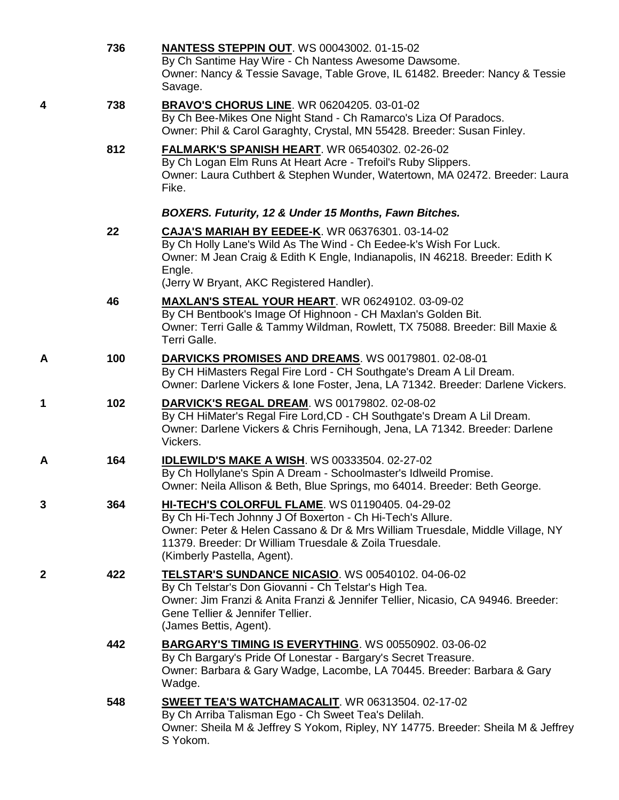|   | 736 | <b>NANTESS STEPPIN OUT. WS 00043002. 01-15-02</b><br>By Ch Santime Hay Wire - Ch Nantess Awesome Dawsome.<br>Owner: Nancy & Tessie Savage, Table Grove, IL 61482. Breeder: Nancy & Tessie<br>Savage.                                                                                    |
|---|-----|-----------------------------------------------------------------------------------------------------------------------------------------------------------------------------------------------------------------------------------------------------------------------------------------|
| 4 | 738 | <b>BRAVO'S CHORUS LINE. WR 06204205. 03-01-02</b><br>By Ch Bee-Mikes One Night Stand - Ch Ramarco's Liza Of Paradocs.<br>Owner: Phil & Carol Garaghty, Crystal, MN 55428. Breeder: Susan Finley.                                                                                        |
|   | 812 | <b>FALMARK'S SPANISH HEART. WR 06540302. 02-26-02</b><br>By Ch Logan Elm Runs At Heart Acre - Trefoil's Ruby Slippers.<br>Owner: Laura Cuthbert & Stephen Wunder, Watertown, MA 02472. Breeder: Laura<br>Fike.                                                                          |
|   |     | BOXERS. Futurity, 12 & Under 15 Months, Fawn Bitches.                                                                                                                                                                                                                                   |
|   | 22  | CAJA'S MARIAH BY EEDEE-K. WR 06376301. 03-14-02<br>By Ch Holly Lane's Wild As The Wind - Ch Eedee-k's Wish For Luck.<br>Owner: M Jean Craig & Edith K Engle, Indianapolis, IN 46218. Breeder: Edith K<br>Engle.<br>(Jerry W Bryant, AKC Registered Handler).                            |
|   | 46  | <b>MAXLAN'S STEAL YOUR HEART. WR 06249102. 03-09-02</b><br>By CH Bentbook's Image Of Highnoon - CH Maxlan's Golden Bit.<br>Owner: Terri Galle & Tammy Wildman, Rowlett, TX 75088. Breeder: Bill Maxie &<br>Terri Galle.                                                                 |
| Α | 100 | DARVICKS PROMISES AND DREAMS. WS 00179801. 02-08-01<br>By CH HiMasters Regal Fire Lord - CH Southgate's Dream A Lil Dream.<br>Owner: Darlene Vickers & Ione Foster, Jena, LA 71342. Breeder: Darlene Vickers.                                                                           |
| 1 | 102 | <b>DARVICK'S REGAL DREAM. WS 00179802. 02-08-02</b><br>By CH HiMater's Regal Fire Lord, CD - CH Southgate's Dream A Lil Dream.<br>Owner: Darlene Vickers & Chris Fernihough, Jena, LA 71342. Breeder: Darlene<br>Vickers.                                                               |
| Α | 164 | <b>IDLEWILD'S MAKE A WISH. WS 00333504. 02-27-02</b><br>By Ch Hollylane's Spin A Dream - Schoolmaster's Idlweild Promise.<br>Owner: Neila Allison & Beth, Blue Springs, mo 64014. Breeder: Beth George.                                                                                 |
| 3 | 364 | HI-TECH'S COLORFUL FLAME. WS 01190405. 04-29-02<br>By Ch Hi-Tech Johnny J Of Boxerton - Ch Hi-Tech's Allure.<br>Owner: Peter & Helen Cassano & Dr & Mrs William Truesdale, Middle Village, NY<br>11379. Breeder: Dr William Truesdale & Zoila Truesdale.<br>(Kimberly Pastella, Agent). |
| 2 | 422 | TELSTAR'S SUNDANCE NICASIO. WS 00540102. 04-06-02<br>By Ch Telstar's Don Giovanni - Ch Telstar's High Tea.<br>Owner: Jim Franzi & Anita Franzi & Jennifer Tellier, Nicasio, CA 94946. Breeder:<br>Gene Tellier & Jennifer Tellier.<br>(James Bettis, Agent).                            |
|   | 442 | <b>BARGARY'S TIMING IS EVERYTHING. WS 00550902. 03-06-02</b><br>By Ch Bargary's Pride Of Lonestar - Bargary's Secret Treasure.<br>Owner: Barbara & Gary Wadge, Lacombe, LA 70445. Breeder: Barbara & Gary<br>Wadge.                                                                     |
|   | 548 | <b>SWEET TEA'S WATCHAMACALIT. WR 06313504. 02-17-02</b><br>By Ch Arriba Talisman Ego - Ch Sweet Tea's Delilah.<br>Owner: Sheila M & Jeffrey S Yokom, Ripley, NY 14775. Breeder: Sheila M & Jeffrey<br>S Yokom.                                                                          |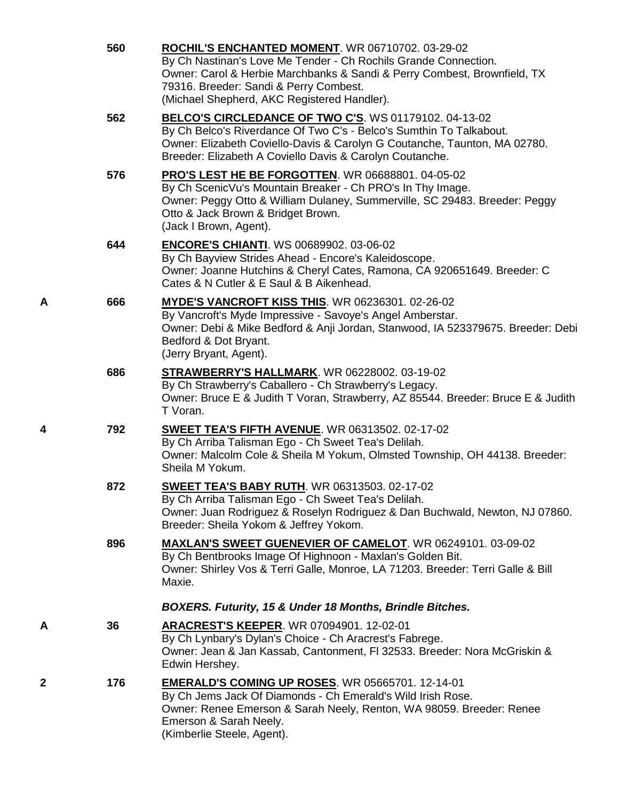|   | 560 | ROCHIL'S ENCHANTED MOMENT. WR 06710702. 03-29-02<br>By Ch Nastinan's Love Me Tender - Ch Rochils Grande Connection.<br>Owner: Carol & Herbie Marchbanks & Sandi & Perry Combest, Brownfield, TX<br>79316. Breeder: Sandi & Perry Combest.<br>(Michael Shepherd, AKC Registered Handler). |
|---|-----|------------------------------------------------------------------------------------------------------------------------------------------------------------------------------------------------------------------------------------------------------------------------------------------|
|   | 562 | BELCO'S CIRCLEDANCE OF TWO C'S. WS 01179102. 04-13-02<br>By Ch Belco's Riverdance Of Two C's - Belco's Sumthin To Talkabout.<br>Owner: Elizabeth Coviello-Davis & Carolyn G Coutanche, Taunton, MA 02780.<br>Breeder: Elizabeth A Coviello Davis & Carolyn Coutanche.                    |
|   | 576 | PRO'S LEST HE BE FORGOTTEN. WR 06688801. 04-05-02<br>By Ch ScenicVu's Mountain Breaker - Ch PRO's In Thy Image.<br>Owner: Peggy Otto & William Dulaney, Summerville, SC 29483. Breeder: Peggy<br>Otto & Jack Brown & Bridget Brown.<br>(Jack I Brown, Agent).                            |
|   | 644 | <b>ENCORE'S CHIANTI.</b> WS 00689902. 03-06-02<br>By Ch Bayview Strides Ahead - Encore's Kaleidoscope.<br>Owner: Joanne Hutchins & Cheryl Cates, Ramona, CA 920651649. Breeder: C<br>Cates & N Cutler & E Saul & B Aikenhead.                                                            |
| Α | 666 | MYDE'S VANCROFT KISS THIS. WR 06236301. 02-26-02<br>By Vancroft's Myde Impressive - Savoye's Angel Amberstar.<br>Owner: Debi & Mike Bedford & Anji Jordan, Stanwood, IA 523379675. Breeder: Debi<br>Bedford & Dot Bryant.<br>(Jerry Bryant, Agent).                                      |
|   | 686 | <b>STRAWBERRY'S HALLMARK.</b> WR 06228002. 03-19-02<br>By Ch Strawberry's Caballero - Ch Strawberry's Legacy.<br>Owner: Bruce E & Judith T Voran, Strawberry, AZ 85544. Breeder: Bruce E & Judith<br>T Voran.                                                                            |
| 4 | 792 | <b>SWEET TEA'S FIFTH AVENUE. WR 06313502. 02-17-02</b><br>By Ch Arriba Talisman Ego - Ch Sweet Tea's Delilah.<br>Owner: Malcolm Cole & Sheila M Yokum, Olmsted Township, OH 44138. Breeder:<br>Sheila M Yokum.                                                                           |
|   | 872 | <b>SWEET TEA'S BABY RUTH.</b> WR 06313503. 02-17-02<br>By Ch Arriba Talisman Ego - Ch Sweet Tea's Delilah.<br>Owner: Juan Rodriguez & Roselyn Rodriguez & Dan Buchwald, Newton, NJ 07860.<br>Breeder: Sheila Yokom & Jeffrey Yokom.                                                      |
|   | 896 | <b>MAXLAN'S SWEET GUENEVIER OF CAMELOT. WR 06249101. 03-09-02</b><br>By Ch Bentbrooks Image Of Highnoon - Maxlan's Golden Bit.<br>Owner: Shirley Vos & Terri Galle, Monroe, LA 71203. Breeder: Terri Galle & Bill<br>Maxie.                                                              |
|   |     | <b>BOXERS. Futurity, 15 &amp; Under 18 Months, Brindle Bitches.</b>                                                                                                                                                                                                                      |
| Α | 36  | ARACREST'S KEEPER. WR 07094901. 12-02-01<br>By Ch Lynbary's Dylan's Choice - Ch Aracrest's Fabrege.<br>Owner: Jean & Jan Kassab, Cantonment, FI 32533. Breeder: Nora McGriskin &<br>Edwin Hershey.                                                                                       |
| 2 | 176 | <b>EMERALD'S COMING UP ROSES. WR 05665701. 12-14-01</b><br>By Ch Jems Jack Of Diamonds - Ch Emerald's Wild Irish Rose.<br>Owner: Renee Emerson & Sarah Neely, Renton, WA 98059. Breeder: Renee<br>Emerson & Sarah Neely.<br>(Kimberlie Steele, Agent).                                   |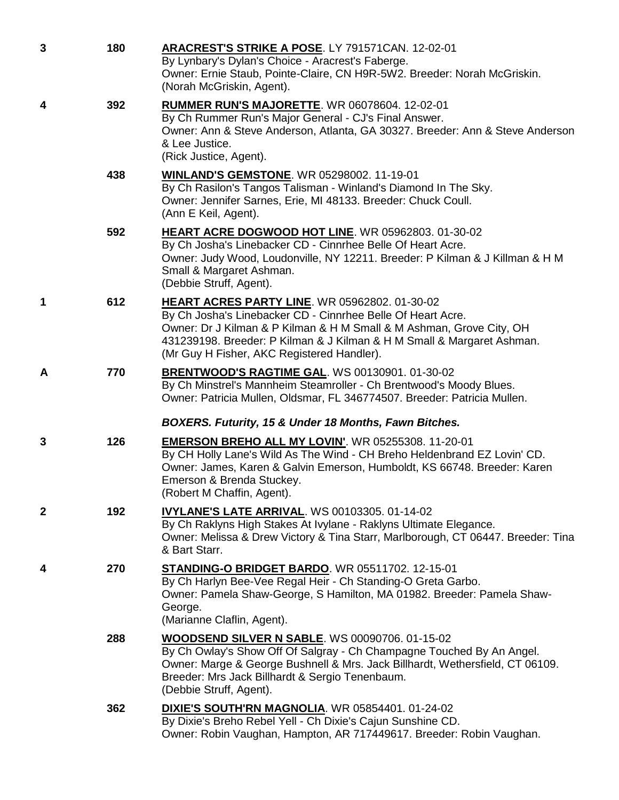| 3 | 180 | ARACREST'S STRIKE A POSE. LY 791571CAN. 12-02-01<br>By Lynbary's Dylan's Choice - Aracrest's Faberge.<br>Owner: Ernie Staub, Pointe-Claire, CN H9R-5W2. Breeder: Norah McGriskin.<br>(Norah McGriskin, Agent).                                                                                               |
|---|-----|--------------------------------------------------------------------------------------------------------------------------------------------------------------------------------------------------------------------------------------------------------------------------------------------------------------|
| 4 | 392 | RUMMER RUN'S MAJORETTE. WR 06078604. 12-02-01<br>By Ch Rummer Run's Major General - CJ's Final Answer.<br>Owner: Ann & Steve Anderson, Atlanta, GA 30327. Breeder: Ann & Steve Anderson<br>& Lee Justice.<br>(Rick Justice, Agent).                                                                          |
|   | 438 | <b>WINLAND'S GEMSTONE.</b> WR 05298002. 11-19-01<br>By Ch Rasilon's Tangos Talisman - Winland's Diamond In The Sky.<br>Owner: Jennifer Sarnes, Erie, MI 48133. Breeder: Chuck Coull.<br>(Ann E Keil, Agent).                                                                                                 |
|   | 592 | HEART ACRE DOGWOOD HOT LINE. WR 05962803. 01-30-02<br>By Ch Josha's Linebacker CD - Cinnrhee Belle Of Heart Acre.<br>Owner: Judy Wood, Loudonville, NY 12211. Breeder: P Kilman & J Killman & H M<br>Small & Margaret Ashman.<br>(Debbie Struff, Agent).                                                     |
| 1 | 612 | HEART ACRES PARTY LINE. WR 05962802. 01-30-02<br>By Ch Josha's Linebacker CD - Cinnrhee Belle Of Heart Acre.<br>Owner: Dr J Kilman & P Kilman & H M Small & M Ashman, Grove City, OH<br>431239198. Breeder: P Kilman & J Kilman & H M Small & Margaret Ashman.<br>(Mr Guy H Fisher, AKC Registered Handler). |
| A | 770 | BRENTWOOD'S RAGTIME GAL. WS 00130901. 01-30-02<br>By Ch Minstrel's Mannheim Steamroller - Ch Brentwood's Moody Blues.<br>Owner: Patricia Mullen, Oldsmar, FL 346774507. Breeder: Patricia Mullen.                                                                                                            |
|   |     | BOXERS. Futurity, 15 & Under 18 Months, Fawn Bitches.                                                                                                                                                                                                                                                        |
| 3 | 126 | <b>EMERSON BREHO ALL MY LOVIN'.</b> WR 05255308. 11-20-01<br>By CH Holly Lane's Wild As The Wind - CH Breho Heldenbrand EZ Lovin' CD.<br>Owner: James, Karen & Galvin Emerson, Humboldt, KS 66748. Breeder: Karen<br>Emerson & Brenda Stuckey.<br>(Robert M Chaffin, Agent).                                 |
| 2 | 192 | <b>IVYLANE'S LATE ARRIVAL. WS 00103305. 01-14-02</b><br>By Ch Raklyns High Stakes At Ivylane - Raklyns Ultimate Elegance.<br>Owner: Melissa & Drew Victory & Tina Starr, Marlborough, CT 06447. Breeder: Tina<br>& Bart Starr.                                                                               |
| 4 | 270 | <b>STANDING-O BRIDGET BARDO. WR 05511702. 12-15-01</b><br>By Ch Harlyn Bee-Vee Regal Heir - Ch Standing-O Greta Garbo.<br>Owner: Pamela Shaw-George, S Hamilton, MA 01982. Breeder: Pamela Shaw-<br>George.<br>(Marianne Claflin, Agent).                                                                    |
|   | 288 | WOODSEND SILVER N SABLE. WS 00090706. 01-15-02<br>By Ch Owlay's Show Off Of Salgray - Ch Champagne Touched By An Angel.<br>Owner: Marge & George Bushnell & Mrs. Jack Billhardt, Wethersfield, CT 06109.<br>Breeder: Mrs Jack Billhardt & Sergio Tenenbaum.<br>(Debbie Struff, Agent).                       |
|   | 362 | <b>DIXIE'S SOUTH'RN MAGNOLIA.</b> WR 05854401. 01-24-02<br>By Dixie's Breho Rebel Yell - Ch Dixie's Cajun Sunshine CD.<br>Owner: Robin Vaughan, Hampton, AR 717449617. Breeder: Robin Vaughan.                                                                                                               |